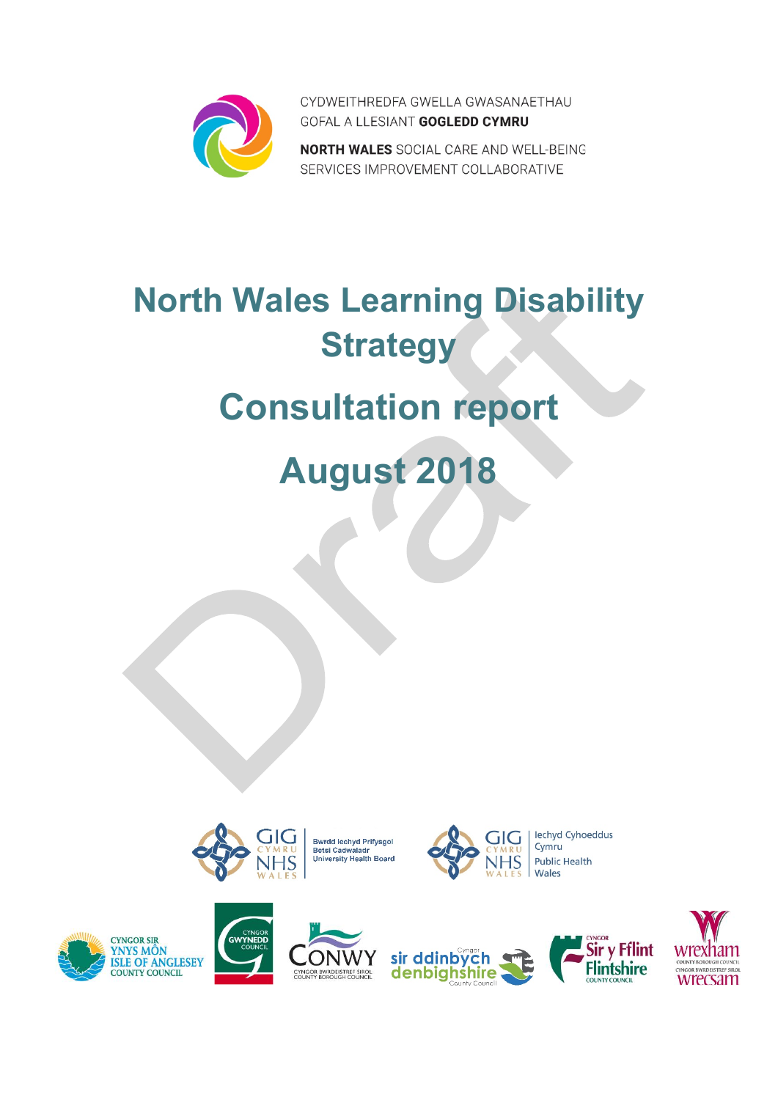

CYDWEITHREDFA GWELLA GWASANAETHAU GOFAL A LLESIANT GOGLEDD CYMRU

NORTH WALES SOCIAL CARE AND WELL-BEING SERVICES IMPROVEMENT COLLABORATIVE

# **North Wales Learning Disability Strategy**

# **Consultation report**

**August 2018**



**Bwrdd lechyd Prifysgol** Burdu lechyd Phrysgor<br>Betsi Cadwaladr<br>University Health Board

Y



lechyd Cyhoeddus **Public Health** 









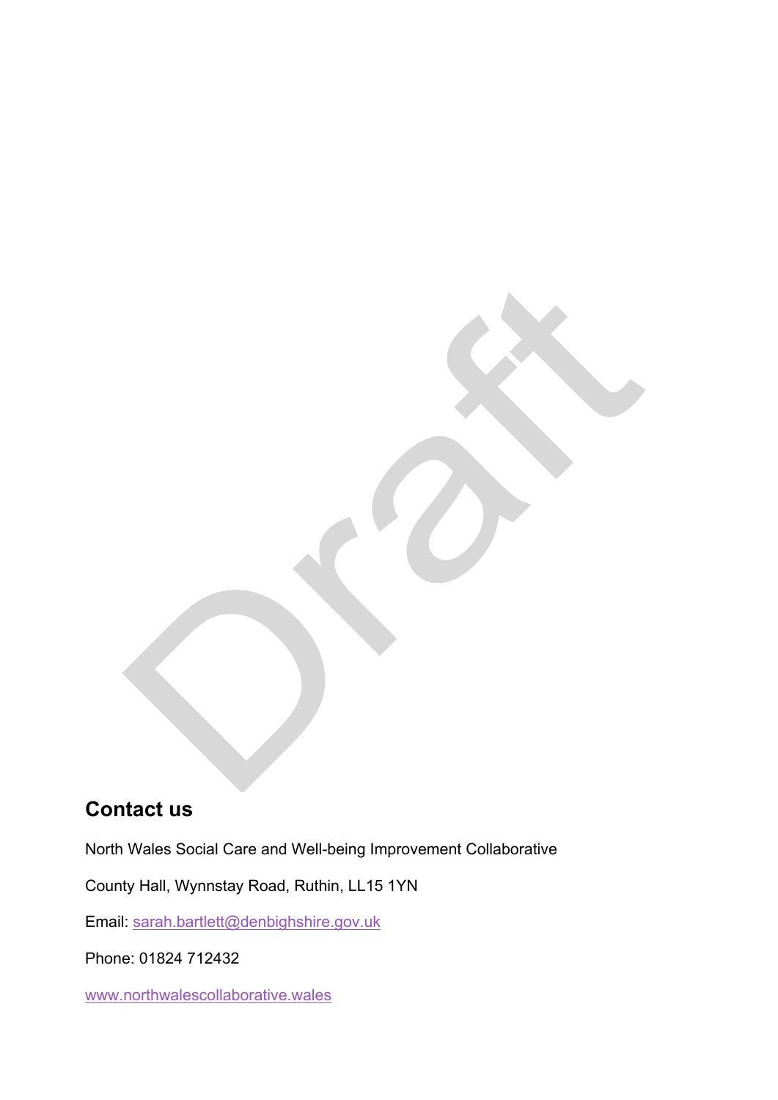### **Contact us**

North Wales Social Care and Well-being Improvement Collaborative

County Hall, Wynnstay Road, Ruthin, LL15 1YN

Email: [sarah.bartlett@denbighshire.gov.uk](mailto:sarah.bartlett@denbighshire.gov.uk)

Phone: 01824 712432

[www.northwalescollaborative.wales](http://www.northwalescollaborative.wales/)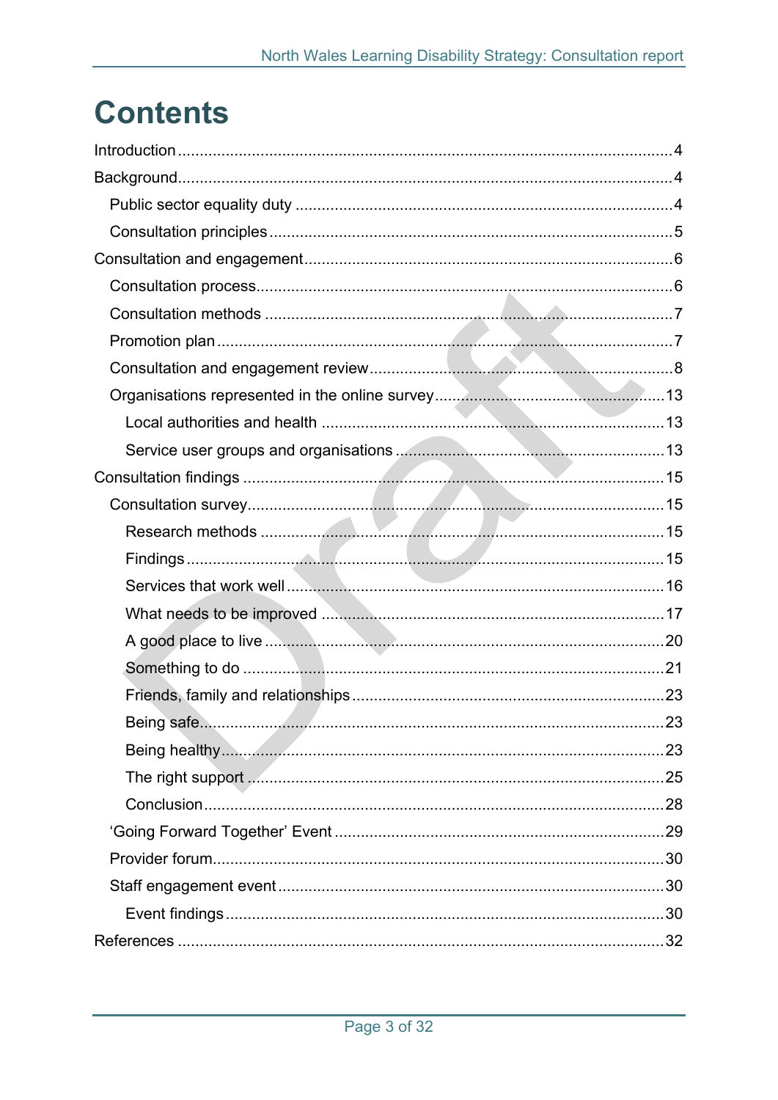## **Contents**

| Being safe. | 23 |
|-------------|----|
|             |    |
|             |    |
|             |    |
|             |    |
|             |    |
|             |    |
|             |    |
|             |    |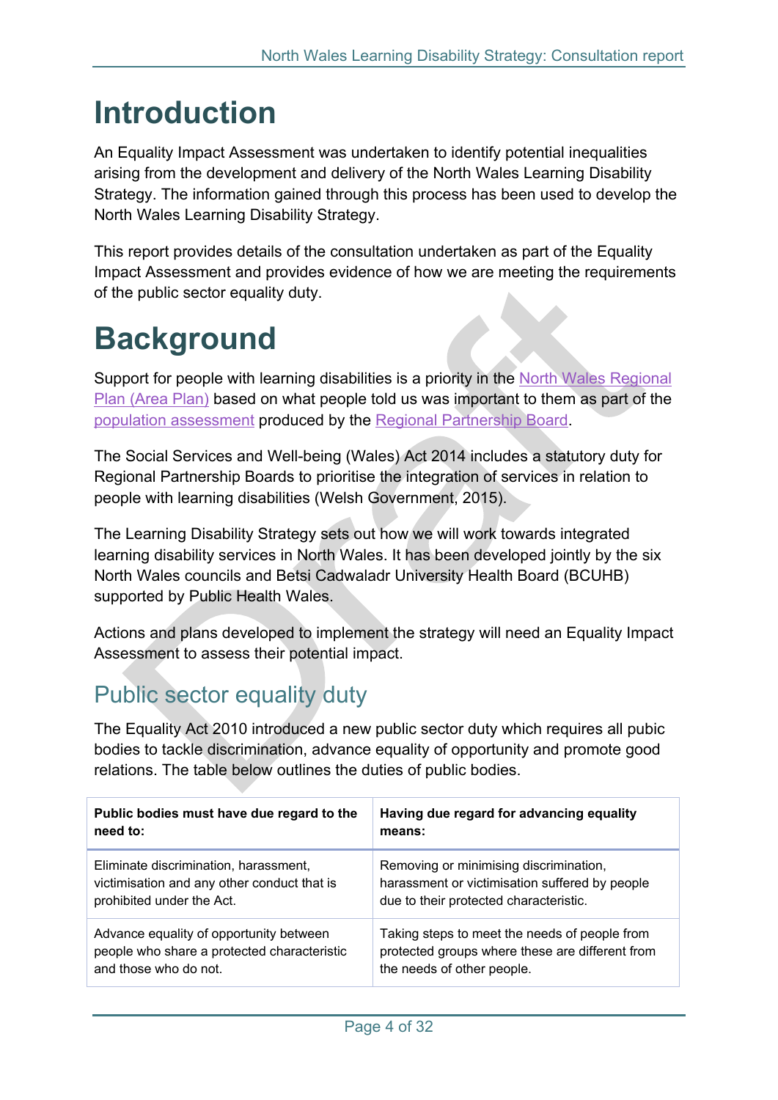## <span id="page-3-0"></span>**Introduction**

An Equality Impact Assessment was undertaken to identify potential inequalities arising from the development and delivery of the North Wales Learning Disability Strategy. The information gained through this process has been used to develop the North Wales Learning Disability Strategy.

This report provides details of the consultation undertaken as part of the Equality Impact Assessment and provides evidence of how we are meeting the requirements of the public sector equality duty.

## <span id="page-3-1"></span>**Background**

Support for people with learning disabilities is a priority in the North Wales [Regional](http://www.northwalescollaborative.wales/north-wales-population-assessment/regional-plan) Plan [\(Area](http://www.northwalescollaborative.wales/north-wales-population-assessment/regional-plan) Plan) based on what people told us was important to them as part of the population [assessment](https://www.northwalescollaborative.wales/north-wales-population-assessment/) produced by the Regional Partnership Board.

The Social Services and Well-being (Wales) Act 2014 includes a statutory duty for Regional Partnership Boards to prioritise the integration of services in relation to people with learning disabilities (Welsh Government, 2015).

The Learning Disability Strategy sets out how we will work towards integrated learning disability services in North Wales. It has been developed jointly by the six North Wales councils and Betsi Cadwaladr University Health Board (BCUHB) supported by Public Health Wales.

Actions and plans developed to implement the strategy will need an Equality Impact Assessment to assess their potential impact.

### <span id="page-3-2"></span>Public sector equality duty

The Equality Act 2010 introduced a new public sector duty which requires all pubic bodies to tackle discrimination, advance equality of opportunity and promote good relations. The table below outlines the duties of public bodies.

| Public bodies must have due regard to the   | Having due regard for advancing equality        |
|---------------------------------------------|-------------------------------------------------|
| need to:                                    | means:                                          |
| Eliminate discrimination, harassment,       | Removing or minimising discrimination,          |
| victimisation and any other conduct that is | harassment or victimisation suffered by people  |
| prohibited under the Act.                   | due to their protected characteristic.          |
| Advance equality of opportunity between     | Taking steps to meet the needs of people from   |
| people who share a protected characteristic | protected groups where these are different from |
| and those who do not.                       | the needs of other people.                      |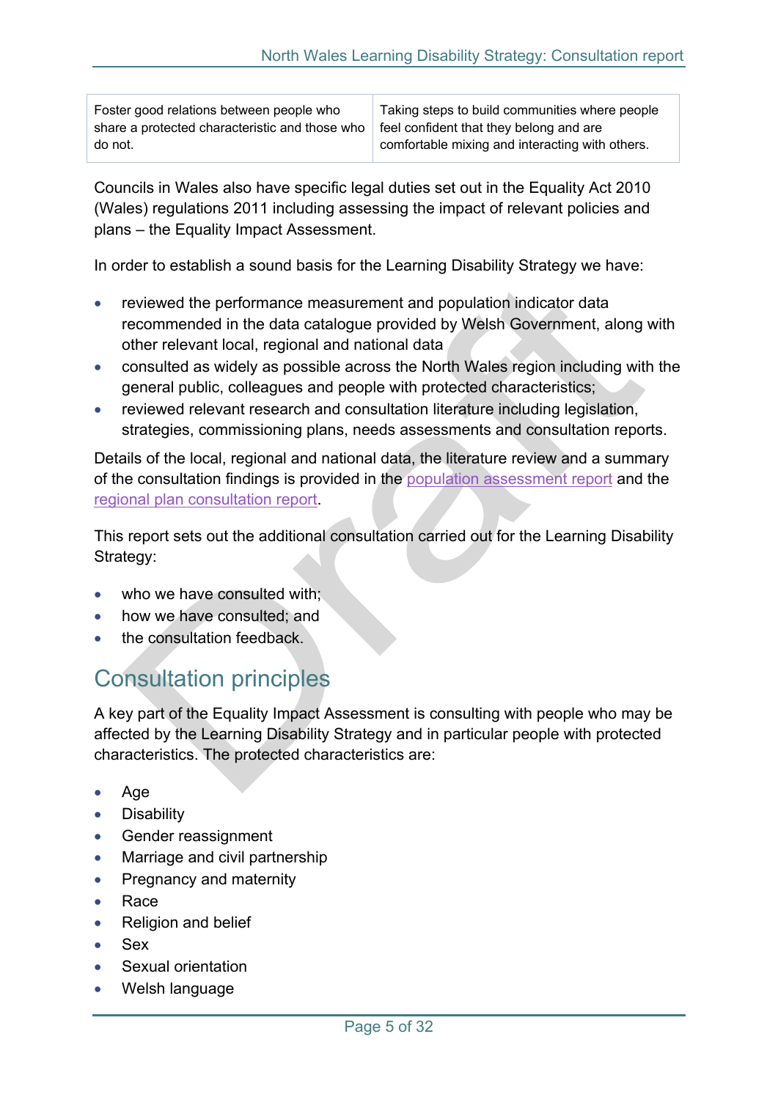Foster good relations between people who share a protected characteristic and those who do not.

Taking steps to build communities where people feel confident that they belong and are comfortable mixing and interacting with others.

Councils in Wales also have specific legal duties set out in the Equality Act 2010 (Wales) regulations 2011 including assessing the impact of relevant policies and plans – the Equality Impact Assessment.

In order to establish a sound basis for the Learning Disability Strategy we have:

- reviewed the performance measurement and population indicator data recommended in the data catalogue provided by Welsh Government, along with other relevant local, regional and national data
- consulted as widely as possible across the North Wales region including with the general public, colleagues and people with protected characteristics;
- reviewed relevant research and consultation literature including legislation, strategies, commissioning plans, needs assessments and consultation reports.

Details of the local, regional and national data, the literature review and a summary of the consultation findings is provided in the population [assessment](http://www.northwalescollaborative.wales/) report and the regional plan [consultation](https://www.northwalescollaborative.wales/north-wales-population-assessment/regional-plan/) report.

This report sets out the additional consultation carried out for the Learning Disability Strategy:

- who we have consulted with:
- how we have consulted; and
- the consultation feedback.

### <span id="page-4-0"></span>Consultation principles

A key part of the Equality Impact Assessment is consulting with people who may be affected by the Learning Disability Strategy and in particular people with protected characteristics. The protected characteristics are:

- Age
- **•** Disability
- Gender reassignment
- Marriage and civil partnership
- Pregnancy and maternity
- Race
- Religion and belief
- Sex
- Sexual orientation
- Welsh language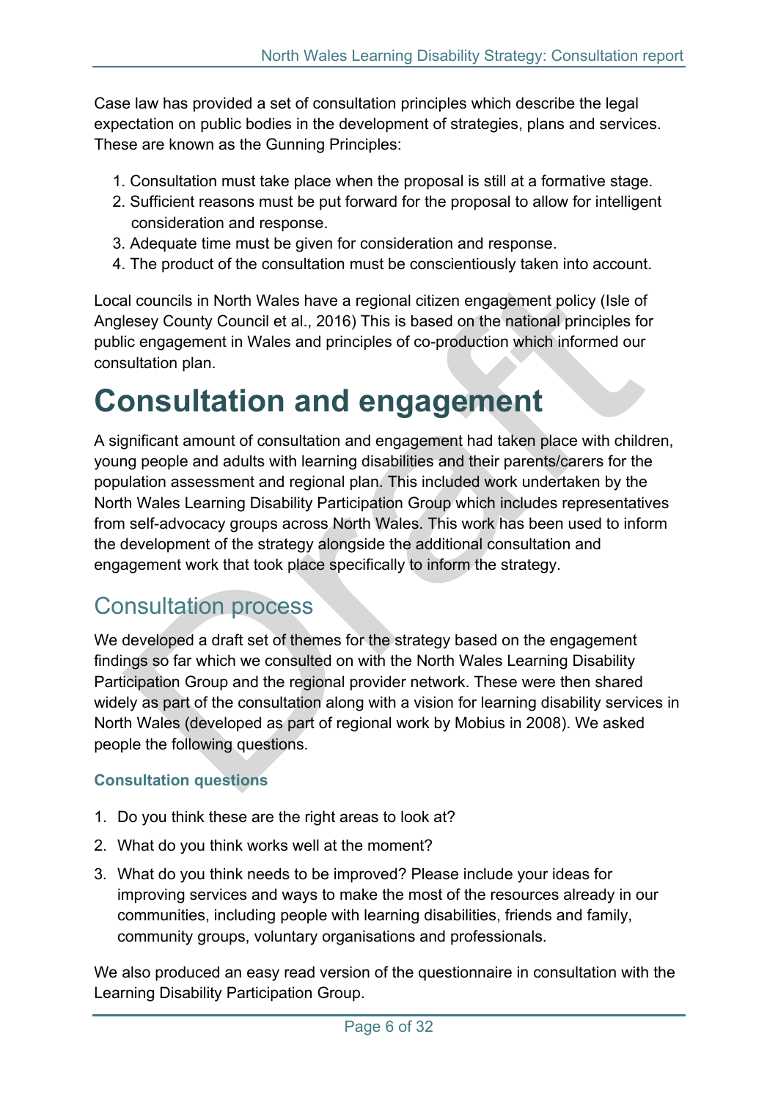Case law has provided a set of consultation principles which describe the legal expectation on public bodies in the development of strategies, plans and services. These are known as the Gunning Principles:

- 1. Consultation must take place when the proposal is still at a formative stage.
- 2. Sufficient reasons must be put forward for the proposal to allow for intelligent consideration and response.
- 3. Adequate time must be given for consideration and response.
- 4. The product of the consultation must be conscientiously taken into account.

Local councils in North Wales have a regional citizen engagement policy (Isle of Anglesey County Council et al., 2016) This is based on the national principles for public engagement in Wales and principles of co-production which informed our consultation plan.

## <span id="page-5-0"></span>**Consultation and engagement**

A significant amount of consultation and engagement had taken place with children, young people and adults with learning disabilities and their parents/carers for the population assessment and regional plan. This included work undertaken by the North Wales Learning Disability Participation Group which includes representatives from self-advocacy groups across North Wales. This work has been used to inform the development of the strategy alongside the additional consultation and engagement work that took place specifically to inform the strategy.

### <span id="page-5-1"></span>Consultation process

We developed a draft set of themes for the strategy based on the engagement findings so far which we consulted on with the North Wales Learning Disability Participation Group and the regional provider network. These were then shared widely as part of the consultation along with a vision for learning disability services in North Wales (developed as part of regional work by Mobius in 2008). We asked people the following questions.

### **Consultation questions**

- 1. Do you think these are the right areas to look at?
- 2. What do you think works well at the moment?
- 3. What do you think needs to be improved? Please include your ideas for improving services and ways to make the most of the resources already in our communities, including people with learning disabilities, friends and family, community groups, voluntary organisations and professionals.

We also produced an easy read version of the questionnaire in consultation with the Learning Disability Participation Group.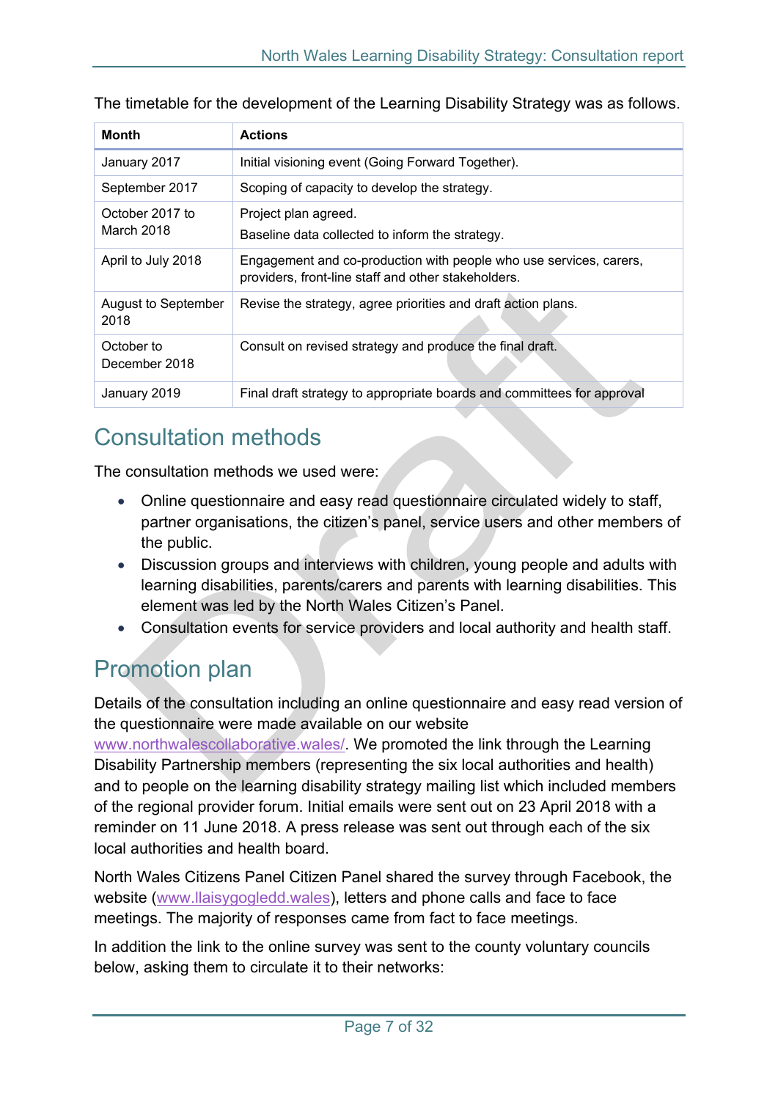| Month                              | <b>Actions</b>                                                                                                            |
|------------------------------------|---------------------------------------------------------------------------------------------------------------------------|
| January 2017                       | Initial visioning event (Going Forward Together).                                                                         |
| September 2017                     | Scoping of capacity to develop the strategy.                                                                              |
| October 2017 to<br>March 2018      | Project plan agreed.<br>Baseline data collected to inform the strategy.                                                   |
| April to July 2018                 | Engagement and co-production with people who use services, carers,<br>providers, front-line staff and other stakeholders. |
| <b>August to September</b><br>2018 | Revise the strategy, agree priorities and draft action plans.                                                             |
| October to<br>December 2018        | Consult on revised strategy and produce the final draft.                                                                  |
| January 2019                       | Final draft strategy to appropriate boards and committees for approval                                                    |

The timetable for the development of the Learning Disability Strategy was as follows.

### <span id="page-6-0"></span>Consultation methods

The consultation methods we used were:

- Online questionnaire and easy read questionnaire circulated widely to staff, partner organisations, the citizen's panel, service users and other members of the public.
- Discussion groups and interviews with children, young people and adults with learning disabilities, parents/carers and parents with learning disabilities. This element was led by the North Wales Citizen's Panel.
- Consultation events for service providers and local authority and health staff.

### <span id="page-6-1"></span>Promotion plan

Details of the consultation including an online questionnaire and easy read version of the questionnaire were made available on our website

[www.northwalescollaborative.wales/.](http://www.northwalescollaborative.wales/) We promoted the link through the Learning Disability Partnership members (representing the six local authorities and health) and to people on the learning disability strategy mailing list which included members of the regional provider forum. Initial emails were sent out on 23 April 2018 with a reminder on 11 June 2018. A press release was sent out through each of the six local authorities and health board.

North Wales Citizens Panel Citizen Panel shared the survey through Facebook, the website [\(www.llaisygogledd.wales\)](http://www.llaisygogledd.wales/), letters and phone calls and face to face meetings. The majority of responses came from fact to face meetings.

In addition the link to the online survey was sent to the county voluntary councils below, asking them to circulate it to their networks: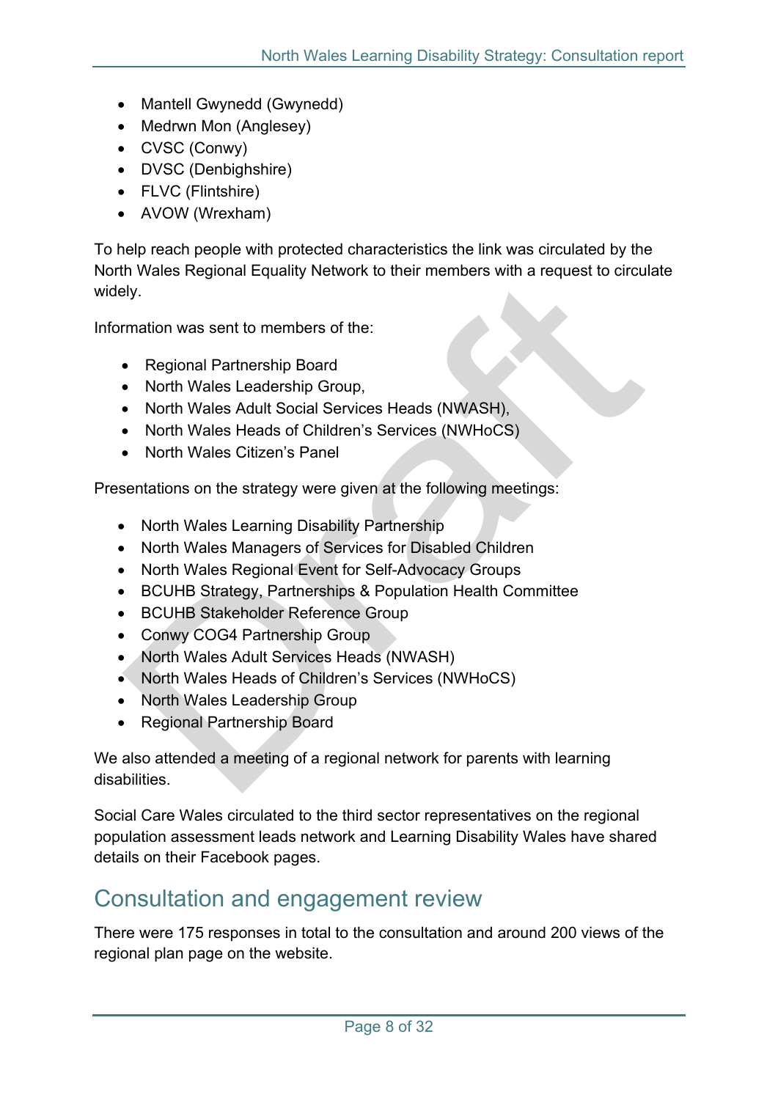- Mantell Gwynedd (Gwynedd)
- Medrwn Mon (Anglesey)
- CVSC (Conwy)
- DVSC (Denbighshire)
- FLVC (Flintshire)
- AVOW (Wrexham)

To help reach people with protected characteristics the link was circulated by the North Wales Regional Equality Network to their members with a request to circulate widely.

Information was sent to members of the:

- Regional Partnership Board
- North Wales Leadership Group,
- North Wales Adult Social Services Heads (NWASH),
- North Wales Heads of Children's Services (NWHoCS)
- North Wales Citizen's Panel

Presentations on the strategy were given at the following meetings:

- North Wales Learning Disability Partnership
- North Wales Managers of Services for Disabled Children
- North Wales Regional Event for Self-Advocacy Groups
- BCUHB Strategy, Partnerships & Population Health Committee
- BCUHB Stakeholder Reference Group
- Conwy COG4 Partnership Group
- North Wales Adult Services Heads (NWASH)
- North Wales Heads of Children's Services (NWHoCS)
- North Wales Leadership Group
- Regional Partnership Board

We also attended a meeting of a regional network for parents with learning disabilities.

Social Care Wales circulated to the third sector representatives on the regional population assessment leads network and Learning Disability Wales have shared details on their Facebook pages.

### <span id="page-7-0"></span>Consultation and engagement review

There were 175 responses in total to the consultation and around 200 views of the regional plan page on the website.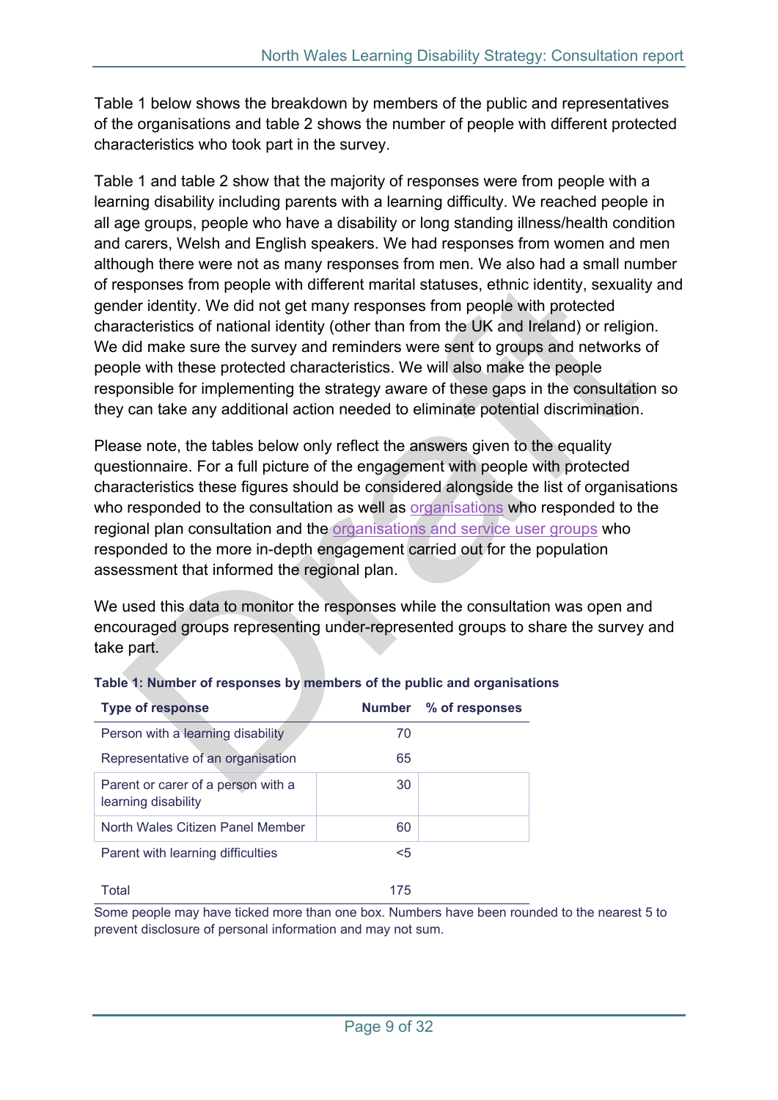Table 1 below shows the breakdown by members of the public and representatives of the organisations and table 2 shows the number of people with different protected characteristics who took part in the survey.

Table 1 and table 2 show that the majority of responses were from people with a learning disability including parents with a learning difficulty. We reached people in all age groups, people who have a disability or long standing illness/health condition and carers, Welsh and English speakers. We had responses from women and men although there were not as many responses from men. We also had a small number of responses from people with different marital statuses, ethnic identity, sexuality and gender identity. We did not get many responses from people with protected characteristics of national identity (other than from the UK and Ireland) or religion. We did make sure the survey and reminders were sent to groups and networks of people with these protected characteristics. We will also make the people responsible for implementing the strategy aware of these gaps in the consultation so they can take any additional action needed to eliminate potential discrimination.

Please note, the tables below only reflect the answers given to the equality questionnaire. For a full picture of the engagement with people with protected characteristics these figures should be considered alongside the list of organisations who responded to the consultation as well as [organisations](#page-11-0) who responded to the regional plan consultation and the [organisations](https://www.northwalescollaborative.wales/north-wales-population-assessment/consultation/) and service user groups who responded to the more in-depth engagement carried out for the population assessment that informed the regional plan.

We used this data to monitor the responses while the consultation was open and encouraged groups representing under-represented groups to share the survey and take part.

| <b>Type of response</b>                                   |       | Number % of responses |
|-----------------------------------------------------------|-------|-----------------------|
| Person with a learning disability                         | 70    |                       |
| Representative of an organisation                         | 65    |                       |
| Parent or carer of a person with a<br>learning disability | 30    |                       |
| North Wales Citizen Panel Member                          | 60    |                       |
| Parent with learning difficulties                         | $<$ 5 |                       |
| Total                                                     | 175   |                       |

### **Table 1: Number of responses by members of the public and organisations**

Some people may have ticked more than one box. Numbers have been rounded to the nearest 5 to prevent disclosure of personal information and may not sum.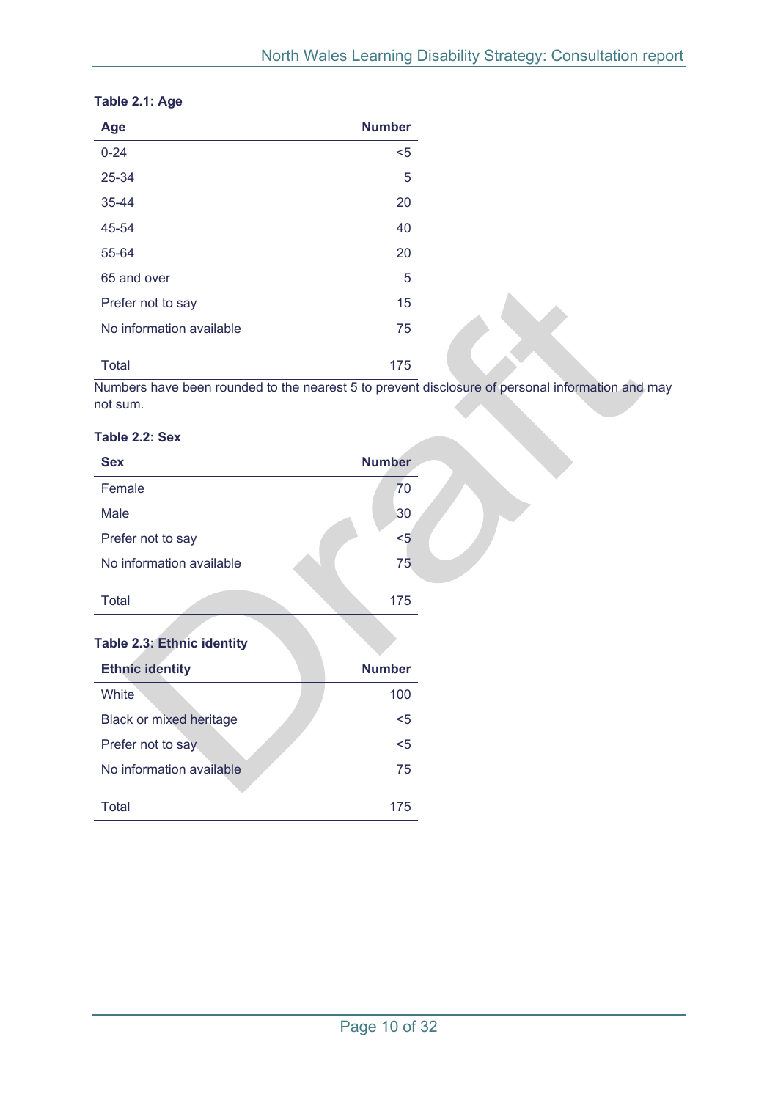| Age                      | <b>Number</b> |  |
|--------------------------|---------------|--|
| $0 - 24$                 | $5$           |  |
| 25-34                    | 5             |  |
| 35-44                    | 20            |  |
| 45-54                    | 40            |  |
| 55-64                    | 20            |  |
| 65 and over              | 5             |  |
| Prefer not to say        | 15            |  |
| No information available | 75            |  |
| <b>Total</b>             | 175           |  |

#### **Table 2.1: Age**

Numbers have been rounded to the nearest 5 to prevent disclosure of personal information and may not sum.

#### **Table 2.2: Sex**

| <b>Sex</b>                        | <b>Number</b> |  |
|-----------------------------------|---------------|--|
| Female                            | 70            |  |
| Male                              | 30            |  |
| Prefer not to say                 | $5$           |  |
| No information available          | 75            |  |
| <b>Total</b>                      | 175           |  |
|                                   |               |  |
| <b>Table 2.3: Ethnic identity</b> |               |  |
| <b>Ethnic identity</b>            | <b>Number</b> |  |
| White                             | 100           |  |
| <b>Black or mixed heritage</b>    | $5$           |  |
| Prefer not to say                 | $5$           |  |
| No information available          | 75            |  |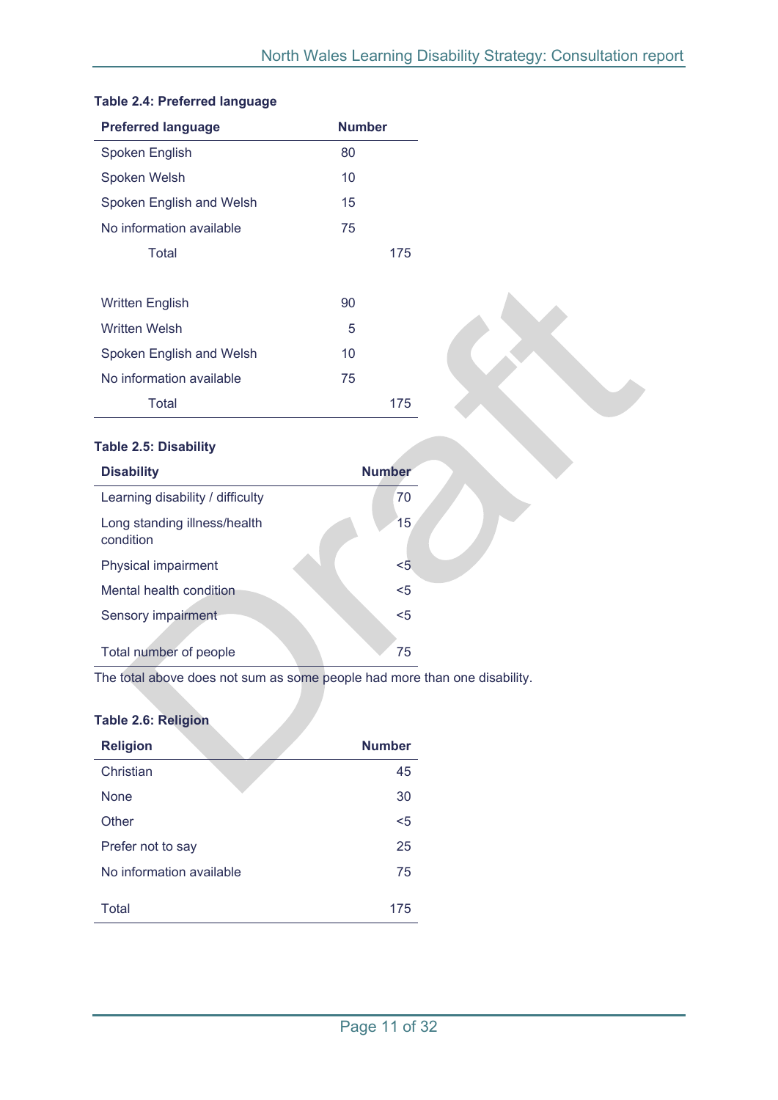| <b>Preferred language</b> | <b>Number</b> |
|---------------------------|---------------|
| Spoken English            | 80            |
| Spoken Welsh              | 10            |
| Spoken English and Welsh  | 15            |
| No information available  | 75            |
| Total                     | 175           |
|                           |               |
| <b>Written English</b>    | 90            |
| <b>Written Welsh</b>      | 5             |
| Spoken English and Welsh  | 10            |
| No information available  | 75            |
| Total                     | 175           |

#### **Table 2.4: Preferred language**

#### **Table 2.5: Disability**

| <b>Disability</b>                         | <b>Number</b> |
|-------------------------------------------|---------------|
| Learning disability / difficulty          | 70            |
| Long standing illness/health<br>condition | 15            |
| Physical impairment                       | $5$           |
| Mental health condition                   | $5$           |
| Sensory impairment                        | $5$           |
| Total number of people                    | 75            |

The total above does not sum as some people had more than one disability.

### **Table 2.6: Religion**

| <b>Religion</b>          | <b>Number</b> |
|--------------------------|---------------|
| Christian                | 45            |
| <b>None</b>              | 30            |
| Other                    | $5$           |
| Prefer not to say        | 25            |
| No information available | 75            |
| Total                    | 175           |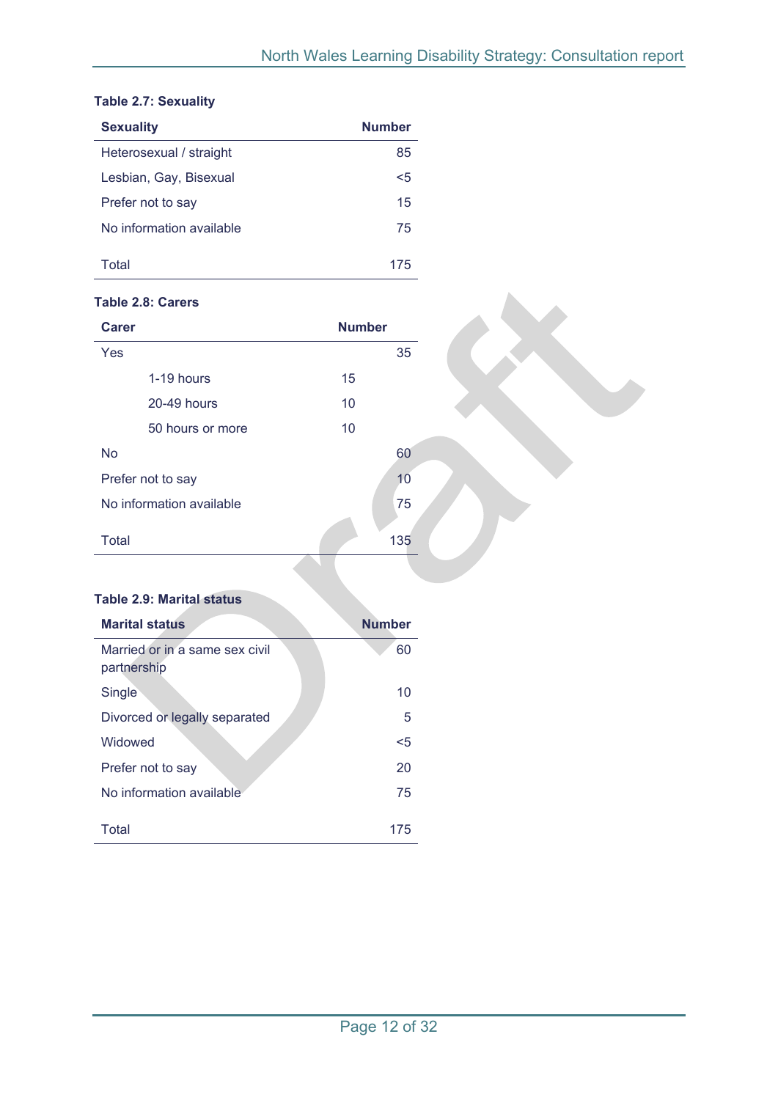#### **Table 2.7: Sexuality**

| <b>Sexuality</b>         | <b>Number</b> |
|--------------------------|---------------|
| Heterosexual / straight  | 85            |
| Lesbian, Gay, Bisexual   | <5            |
| Prefer not to say        | 15            |
| No information available | 75            |
| Total                    | 175           |

#### **Table 2.8: Carers**

| <b>Carer</b> |                          |    | <b>Number</b> |
|--------------|--------------------------|----|---------------|
| Yes          |                          |    | 35            |
|              | 1-19 hours               | 15 |               |
|              | 20-49 hours              | 10 |               |
|              | 50 hours or more         | 10 |               |
| <b>No</b>    |                          |    | 60            |
|              | Prefer not to say        |    | 10            |
|              | No information available |    | 75            |
| Total        |                          |    | 135           |

#### **Table 2.9: Marital status**

<span id="page-11-0"></span>

| <b>Marital status</b>                         | <b>Number</b> |
|-----------------------------------------------|---------------|
| Married or in a same sex civil<br>partnership | 60            |
| Single                                        | 10            |
| Divorced or legally separated                 | 5             |
| Widowed                                       | $<$ 5         |
| Prefer not to say                             | 20            |
| No information available                      | 75            |
| Total                                         | 175           |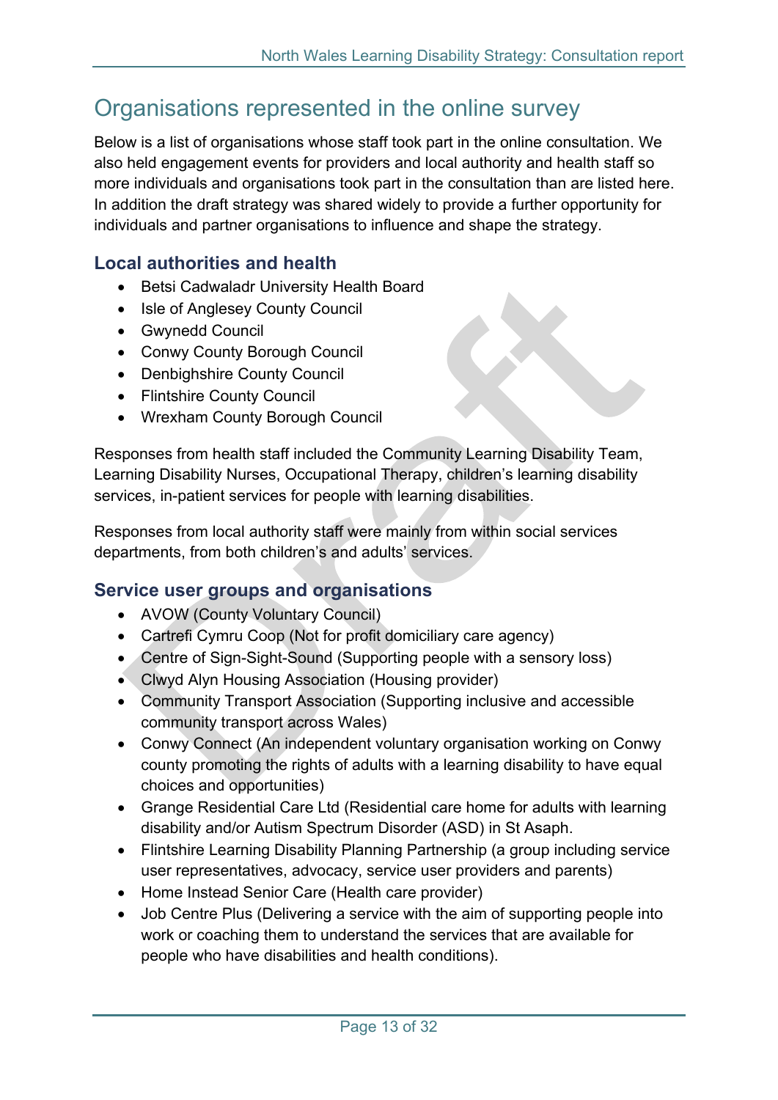### <span id="page-12-0"></span>Organisations represented in the online survey

Below is a list of organisations whose staff took part in the online consultation. We also held engagement events for providers and local authority and health staff so more individuals and organisations took part in the consultation than are listed here. In addition the draft strategy was shared widely to provide a further opportunity for individuals and partner organisations to influence and shape the strategy.

### <span id="page-12-1"></span>**Local authorities and health**

- Betsi Cadwaladr University Health Board
- Isle of Anglesey County Council
- Gwynedd Council
- Conwy County Borough Council
- Denbighshire County Council
- Flintshire County Council
- Wrexham County Borough Council

Responses from health staff included the Community Learning Disability Team, Learning Disability Nurses, Occupational Therapy, children's learning disability services, in-patient services for people with learning disabilities.

Responses from local authority staff were mainly from within social services departments, from both children's and adults' services.

### <span id="page-12-2"></span>**Service user groups and organisations**

- AVOW (County Voluntary Council)
- Cartrefi Cymru Coop (Not for profit domiciliary care agency)
- Centre of Sign-Sight-Sound (Supporting people with a sensory loss)
- Clwyd Alyn Housing Association (Housing provider)
- Community Transport Association (Supporting inclusive and accessible community transport across Wales)
- Conwy Connect (An independent voluntary organisation working on Conwy county promoting the rights of adults with a learning disability to have equal choices and opportunities)
- Grange Residential Care Ltd (Residential care home for adults with learning disability and/or Autism Spectrum Disorder (ASD) in St Asaph.
- Flintshire Learning Disability Planning Partnership (a group including service user representatives, advocacy, service user providers and parents)
- Home Instead Senior Care (Health care provider)
- Job Centre Plus (Delivering a service with the aim of supporting people into work or coaching them to understand the services that are available for people who have disabilities and health conditions).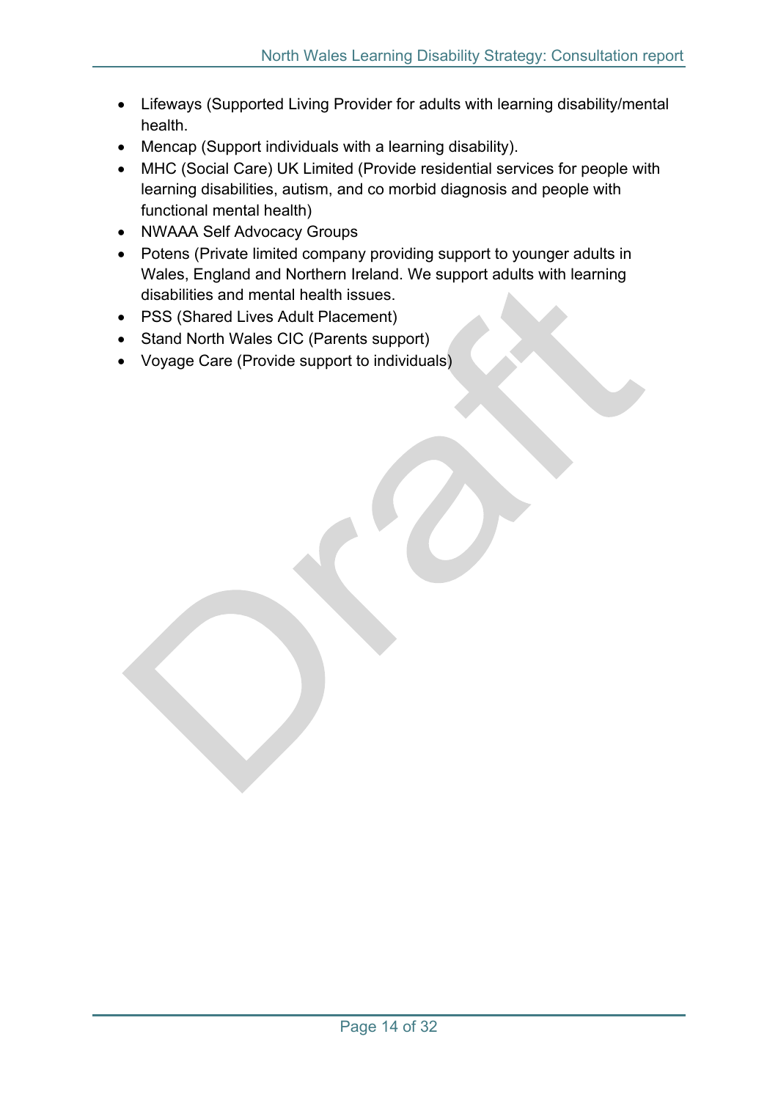- Lifeways (Supported Living Provider for adults with learning disability/mental health.
- Mencap (Support individuals with a learning disability).
- MHC (Social Care) UK Limited (Provide residential services for people with learning disabilities, autism, and co morbid diagnosis and people with functional mental health)
- NWAAA Self Advocacy Groups
- Potens (Private limited company providing support to younger adults in Wales, England and Northern Ireland. We support adults with learning disabilities and mental health issues.
- PSS (Shared Lives Adult Placement)
- Stand North Wales CIC (Parents support)
- Voyage Care (Provide support to individuals)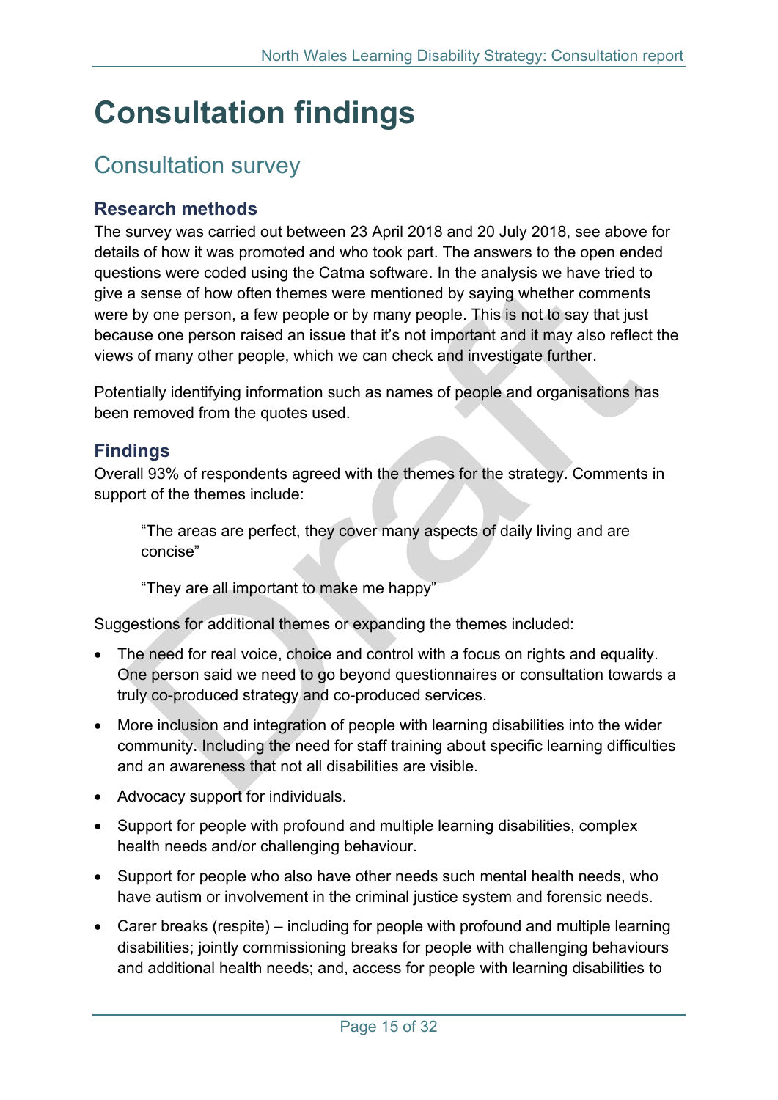## <span id="page-14-0"></span>**Consultation findings**

### <span id="page-14-1"></span>Consultation survey

### <span id="page-14-2"></span>**Research methods**

The survey was carried out between 23 April 2018 and 20 July 2018, see above for details of how it was promoted and who took part. The answers to the open ended questions were coded using the Catma software. In the analysis we have tried to give a sense of how often themes were mentioned by saying whether comments were by one person, a few people or by many people. This is not to say that just because one person raised an issue that it's not important and it may also reflect the views of many other people, which we can check and investigate further.

Potentially identifying information such as names of people and organisations has been removed from the quotes used.

### <span id="page-14-3"></span>**Findings**

Overall 93% of respondents agreed with the themes for the strategy. Comments in support of the themes include:

"The areas are perfect, they cover many aspects of daily living and are concise"

"They are all important to make me happy"

Suggestions for additional themes or expanding the themes included:

- The need for real voice, choice and control with a focus on rights and equality. One person said we need to go beyond questionnaires or consultation towards a truly co-produced strategy and co-produced services.
- More inclusion and integration of people with learning disabilities into the wider community. Including the need for staff training about specific learning difficulties and an awareness that not all disabilities are visible.
- Advocacy support for individuals.
- Support for people with profound and multiple learning disabilities, complex health needs and/or challenging behaviour.
- Support for people who also have other needs such mental health needs, who have autism or involvement in the criminal justice system and forensic needs.
- Carer breaks (respite) including for people with profound and multiple learning disabilities; jointly commissioning breaks for people with challenging behaviours and additional health needs; and, access for people with learning disabilities to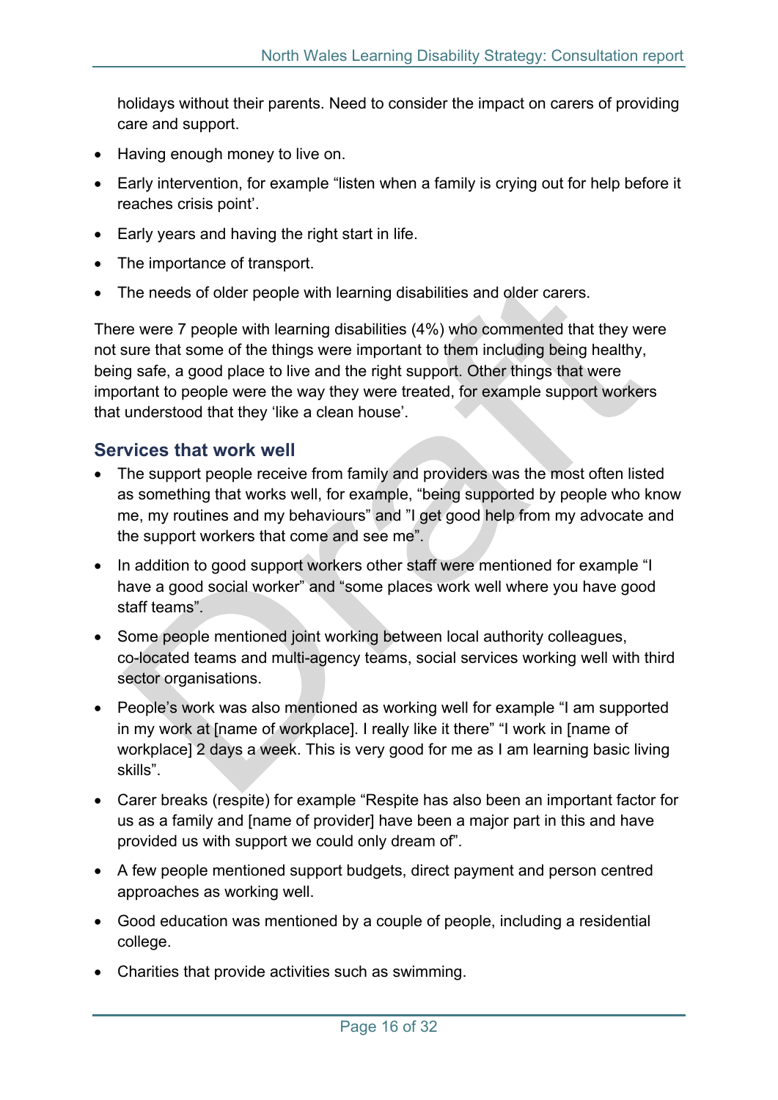holidays without their parents. Need to consider the impact on carers of providing care and support.

- Having enough money to live on.
- Early intervention, for example "listen when a family is crying out for help before it reaches crisis point'.
- Early years and having the right start in life.
- The importance of transport.
- The needs of older people with learning disabilities and older carers.

There were 7 people with learning disabilities (4%) who commented that they were not sure that some of the things were important to them including being healthy, being safe, a good place to live and the right support. Other things that were important to people were the way they were treated, for example support workers that understood that they 'like a clean house'.

### <span id="page-15-0"></span>**Services that work well**

- The support people receive from family and providers was the most often listed as something that works well, for example, "being supported by people who know me, my routines and my behaviours" and "I get good help from my advocate and the support workers that come and see me".
- In addition to good support workers other staff were mentioned for example "I have a good social worker" and "some places work well where you have good staff teams".
- Some people mentioned joint working between local authority colleagues, co-located teams and multi-agency teams, social services working well with third sector organisations.
- People's work was also mentioned as working well for example "I am supported in my work at [name of workplace]. I really like it there" "I work in [name of workplace] 2 days a week. This is very good for me as I am learning basic living skills".
- Carer breaks (respite) for example "Respite has also been an important factor for us as a family and [name of provider] have been a major part in this and have provided us with support we could only dream of".
- A few people mentioned support budgets, direct payment and person centred approaches as working well.
- Good education was mentioned by a couple of people, including a residential college.
- Charities that provide activities such as swimming.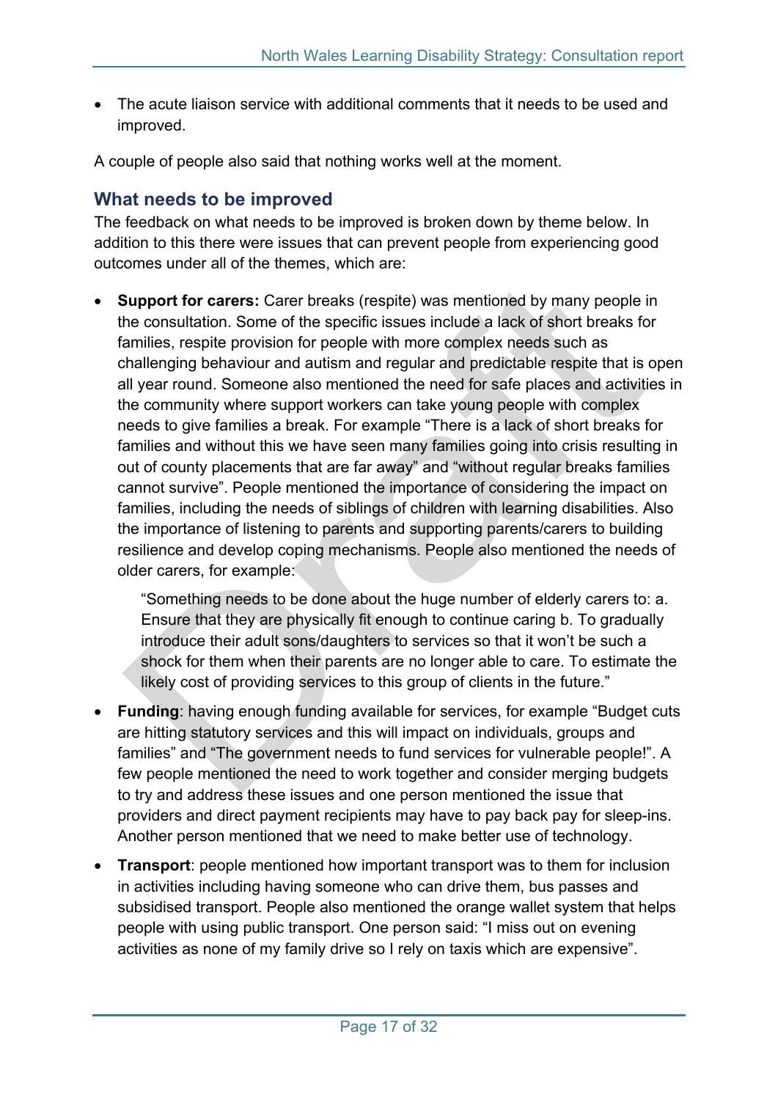The acute liaison service with additional comments that it needs to be used and improved.

A couple of people also said that nothing works well at the moment.

### <span id="page-16-0"></span>**What needs to be improved**

The feedback on what needs to be improved is broken down by theme below. In addition to this there were issues that can prevent people from experiencing good outcomes under all of the themes, which are:

 **Support for carers:** Carer breaks (respite) was mentioned by many people in the consultation. Some of the specific issues include a lack of short breaks for families, respite provision for people with more complex needs such as challenging behaviour and autism and regular and predictable respite that is open all year round. Someone also mentioned the need for safe places and activities in the community where support workers can take young people with complex needs to give families a break. For example "There is a lack of short breaks for families and without this we have seen many families going into crisis resulting in out of county placements that are far away" and "without regular breaks families cannot survive". People mentioned the importance of considering the impact on families, including the needs of siblings of children with learning disabilities. Also the importance of listening to parents and supporting parents/carers to building resilience and develop coping mechanisms. People also mentioned the needs of older carers, for example:

"Something needs to be done about the huge number of elderly carers to: a. Ensure that they are physically fit enough to continue caring b. To gradually introduce their adult sons/daughters to services so that it won't be such a shock for them when their parents are no longer able to care. To estimate the likely cost of providing services to this group of clients in the future."

- **Funding**: having enough funding available for services, for example "Budget cuts are hitting statutory services and this will impact on individuals, groups and families" and "The government needs to fund services for vulnerable people!". A few people mentioned the need to work together and consider merging budgets to try and address these issues and one person mentioned the issue that providers and direct payment recipients may have to pay back pay for sleep-ins. Another person mentioned that we need to make better use of technology.
- **Transport**: people mentioned how important transport was to them for inclusion in activities including having someone who can drive them, bus passes and subsidised transport. People also mentioned the orange wallet system that helps people with using public transport. One person said: "I miss out on evening activities as none of my family drive so I rely on taxis which are expensive".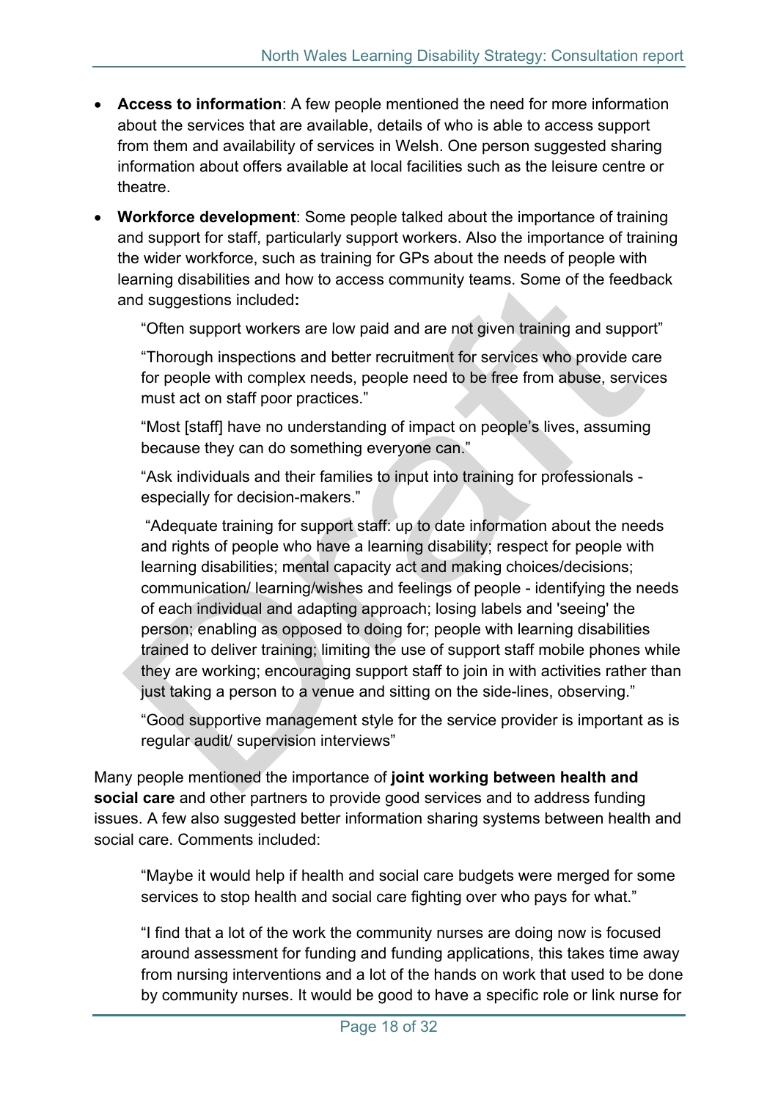- **Access to information**: A few people mentioned the need for more information about the services that are available, details of who is able to access support from them and availability of services in Welsh. One person suggested sharing information about offers available at local facilities such as the leisure centre or theatre.
- **Workforce development**: Some people talked about the importance of training and support for staff, particularly support workers. Also the importance of training the wider workforce, such as training for GPs about the needs of people with learning disabilities and how to access community teams. Some of the feedback and suggestions included**:**

"Often support workers are low paid and are not given training and support"

"Thorough inspections and better recruitment for services who provide care for people with complex needs, people need to be free from abuse, services must act on staff poor practices."

"Most [staff] have no understanding of impact on people's lives, assuming because they can do something everyone can."

"Ask individuals and their families to input into training for professionals especially for decision-makers."

"Adequate training for support staff: up to date information about the needs and rights of people who have a learning disability; respect for people with learning disabilities; mental capacity act and making choices/decisions; communication/ learning/wishes and feelings of people - identifying the needs of each individual and adapting approach; losing labels and 'seeing' the person; enabling as opposed to doing for; people with learning disabilities trained to deliver training; limiting the use of support staff mobile phones while they are working; encouraging support staff to join in with activities rather than just taking a person to a venue and sitting on the side-lines, observing."

"Good supportive management style for the service provider is important as is regular audit/ supervision interviews"

Many people mentioned the importance of **joint working between health and social care** and other partners to provide good services and to address funding issues. A few also suggested better information sharing systems between health and social care. Comments included:

"Maybe it would help if health and social care budgets were merged for some services to stop health and social care fighting over who pays for what."

"I find that a lot of the work the community nurses are doing now is focused around assessment for funding and funding applications, this takes time away from nursing interventions and a lot of the hands on work that used to be done by community nurses. It would be good to have a specific role or link nurse for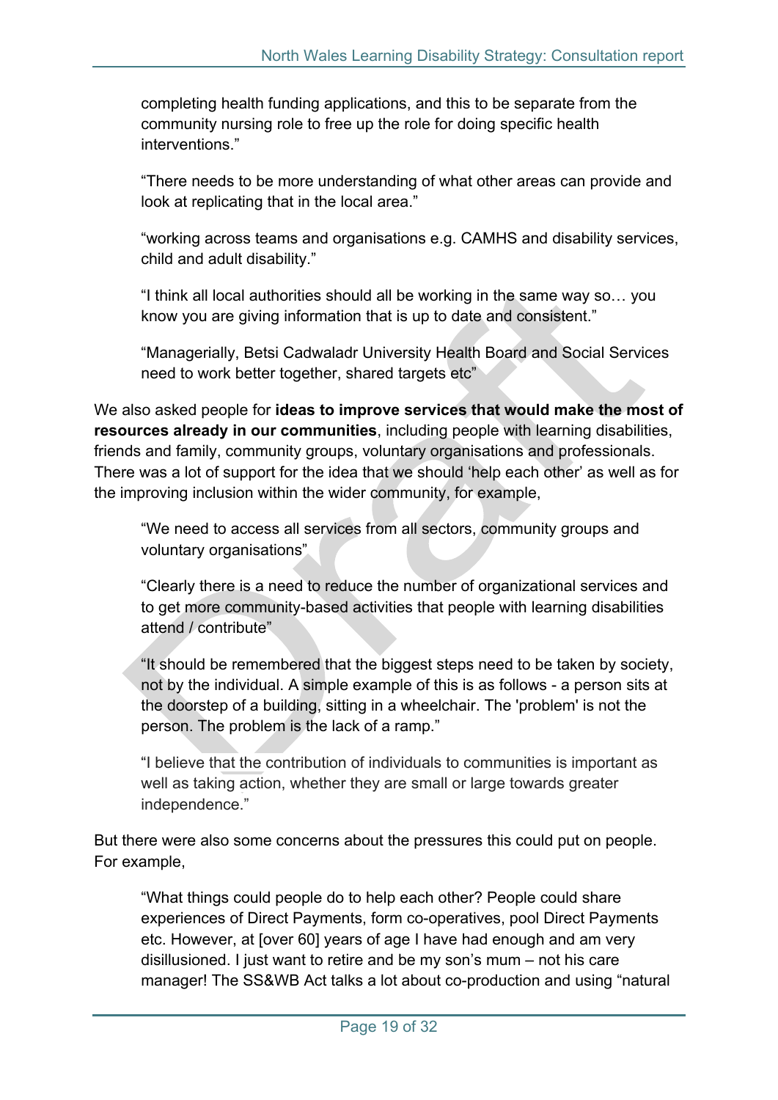completing health funding applications, and this to be separate from the community nursing role to free up the role for doing specific health interventions."

"There needs to be more understanding of what other areas can provide and look at replicating that in the local area."

"working across teams and organisations e.g. CAMHS and disability services, child and adult disability."

"I think all local authorities should all be working in the same way so… you know you are giving information that is up to date and consistent."

"Managerially, Betsi Cadwaladr University Health Board and Social Services need to work better together, shared targets etc"

We also asked people for **ideas to improve services that would make the most of resources already in our communities**, including people with learning disabilities, friends and family, community groups, voluntary organisations and professionals. There was a lot of support for the idea that we should 'help each other' as well as for the improving inclusion within the wider community, for example,

"We need to access all services from all sectors, community groups and voluntary organisations"

"Clearly there is a need to reduce the number of organizational services and to get more community-based activities that people with learning disabilities attend / contribute"

"It should be remembered that the biggest steps need to be taken by society, not by the individual. A simple example of this is as follows - a person sits at the doorstep of a building, sitting in a wheelchair. The 'problem' is not the person. The problem is the lack of a ramp."

"I believe that the contribution of individuals to communities is important as well as taking action, whether they are small or large towards greater independence."

But there were also some concerns about the pressures this could put on people. For example,

"What things could people do to help each other? People could share experiences of Direct Payments, form co-operatives, pool Direct Payments etc. However, at [over 60] years of age I have had enough and am very disillusioned. I just want to retire and be my son's mum – not his care manager! The SS&WB Act talks a lot about co-production and using "natural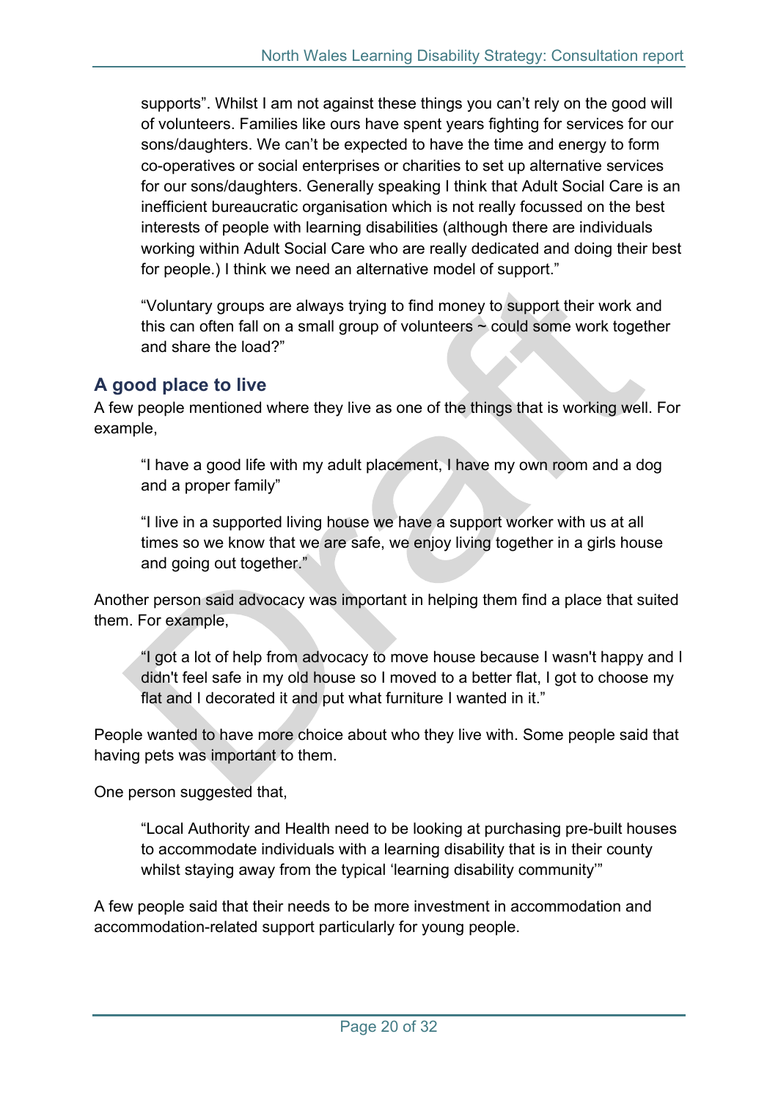supports". Whilst I am not against these things you can't rely on the good will of volunteers. Families like ours have spent years fighting for services for our sons/daughters. We can't be expected to have the time and energy to form co-operatives or social enterprises or charities to set up alternative services for our sons/daughters. Generally speaking I think that Adult Social Care is an inefficient bureaucratic organisation which is not really focussed on the best interests of people with learning disabilities (although there are individuals working within Adult Social Care who are really dedicated and doing their best for people.) I think we need an alternative model of support."

"Voluntary groups are always trying to find money to support their work and this can often fall on a small group of volunteers  $\sim$  could some work together and share the load?"

### <span id="page-19-0"></span>**A good place to live**

A few people mentioned where they live as one of the things that is working well. For example,

"I have a good life with my adult placement, I have my own room and a dog and a proper family"

"I live in a supported living house we have a support worker with us at all times so we know that we are safe, we enjoy living together in a girls house and going out together."

Another person said advocacy was important in helping them find a place that suited them. For example,

"I got a lot of help from advocacy to move house because I wasn't happy and I didn't feel safe in my old house so I moved to a better flat, I got to choose my flat and I decorated it and put what furniture I wanted in it."

People wanted to have more choice about who they live with. Some people said that having pets was important to them.

One person suggested that,

"Local Authority and Health need to be looking at purchasing pre-built houses to accommodate individuals with a learning disability that is in their county whilst staying away from the typical 'learning disability community'"

A few people said that their needs to be more investment in accommodation and accommodation-related support particularly for young people.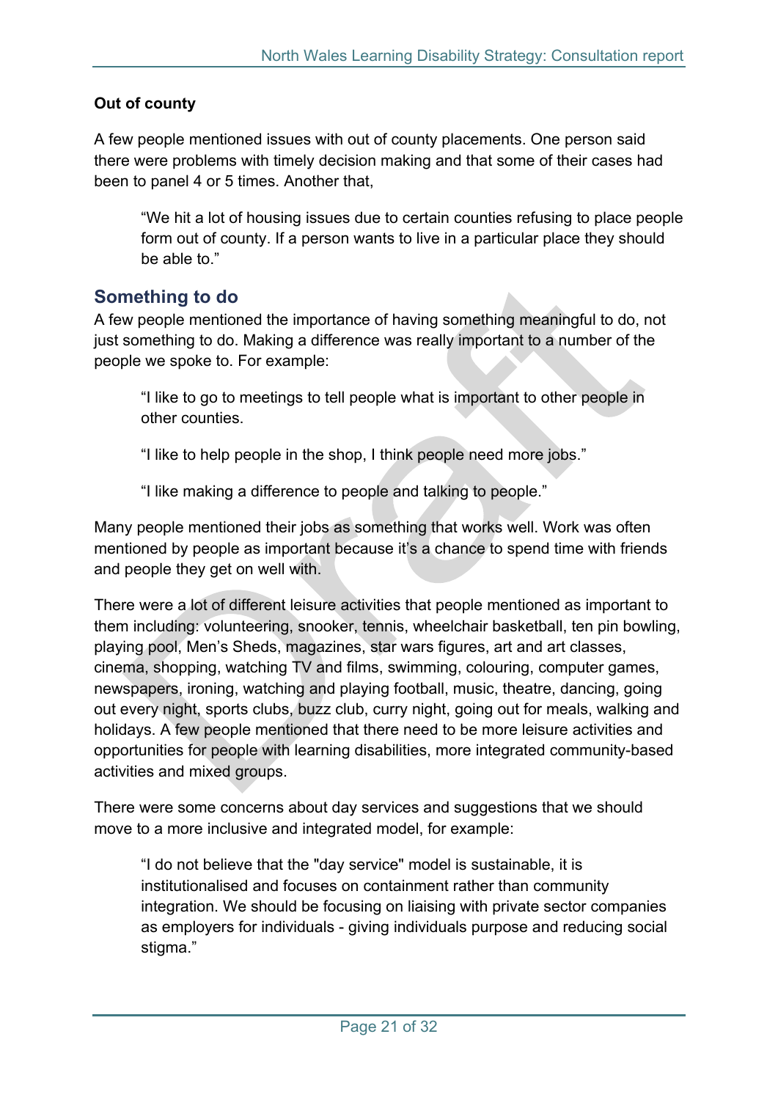### **Out of county**

A few people mentioned issues with out of county placements. One person said there were problems with timely decision making and that some of their cases had been to panel 4 or 5 times. Another that,

"We hit a lot of housing issues due to certain counties refusing to place people form out of county. If a person wants to live in a particular place they should be able to."

### <span id="page-20-0"></span>**Something to do**

A few people mentioned the importance of having something meaningful to do, not just something to do. Making a difference was really important to a number of the people we spoke to. For example:

"I like to go to meetings to tell people what is important to other people in other counties.

"I like to help people in the shop, I think people need more jobs."

"I like making a difference to people and talking to people."

Many people mentioned their jobs as something that works well. Work was often mentioned by people as important because it's a chance to spend time with friends and people they get on well with.

There were a lot of different leisure activities that people mentioned as important to them including: volunteering, snooker, tennis, wheelchair basketball, ten pin bowling, playing pool, Men's Sheds, magazines, star wars figures, art and art classes, cinema, shopping, watching TV and films, swimming, colouring, computer games, newspapers, ironing, watching and playing football, music, theatre, dancing, going out every night, sports clubs, buzz club, curry night, going out for meals, walking and holidays. A few people mentioned that there need to be more leisure activities and opportunities for people with learning disabilities, more integrated community-based activities and mixed groups.

There were some concerns about day services and suggestions that we should move to a more inclusive and integrated model, for example:

"I do not believe that the "day service" model is sustainable, it is institutionalised and focuses on containment rather than community integration. We should be focusing on liaising with private sector companies as employers for individuals - giving individuals purpose and reducing social stigma."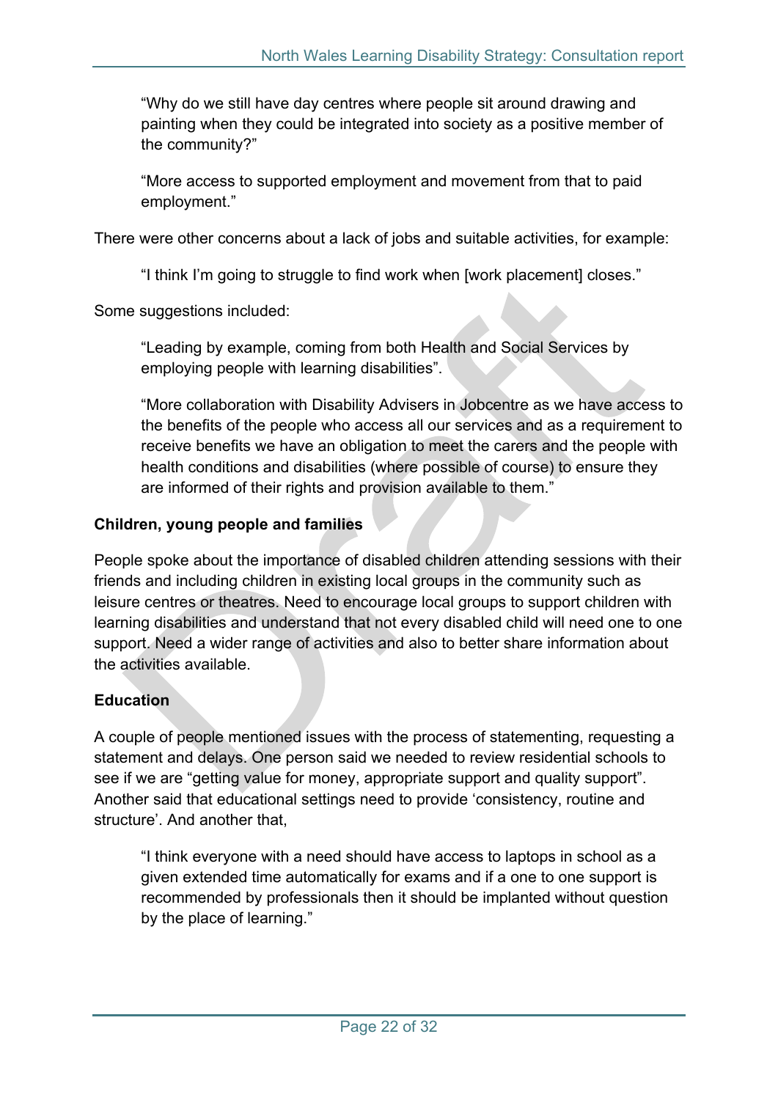"Why do we still have day centres where people sit around drawing and painting when they could be integrated into society as a positive member of the community?"

"More access to supported employment and movement from that to paid employment."

There were other concerns about a lack of jobs and suitable activities, for example:

"I think I'm going to struggle to find work when [work placement] closes."

Some suggestions included:

"Leading by example, coming from both Health and Social Services by employing people with learning disabilities".

"More collaboration with Disability Advisers in Jobcentre as we have access to the benefits of the people who access all our services and as a requirement to receive benefits we have an obligation to meet the carers and the people with health conditions and disabilities (where possible of course) to ensure they are informed of their rights and provision available to them."

### **Children, young people and families**

People spoke about the importance of disabled children attending sessions with their friends and including children in existing local groups in the community such as leisure centres or theatres. Need to encourage local groups to support children with learning disabilities and understand that not every disabled child will need one to one support. Need a wider range of activities and also to better share information about the activities available.

### **Education**

A couple of people mentioned issues with the process of statementing, requesting a statement and delays. One person said we needed to review residential schools to see if we are "getting value for money, appropriate support and quality support". Another said that educational settings need to provide 'consistency, routine and structure'. And another that,

"I think everyone with a need should have access to laptops in school as a given extended time automatically for exams and if a one to one support is recommended by professionals then it should be implanted without question by the place of learning."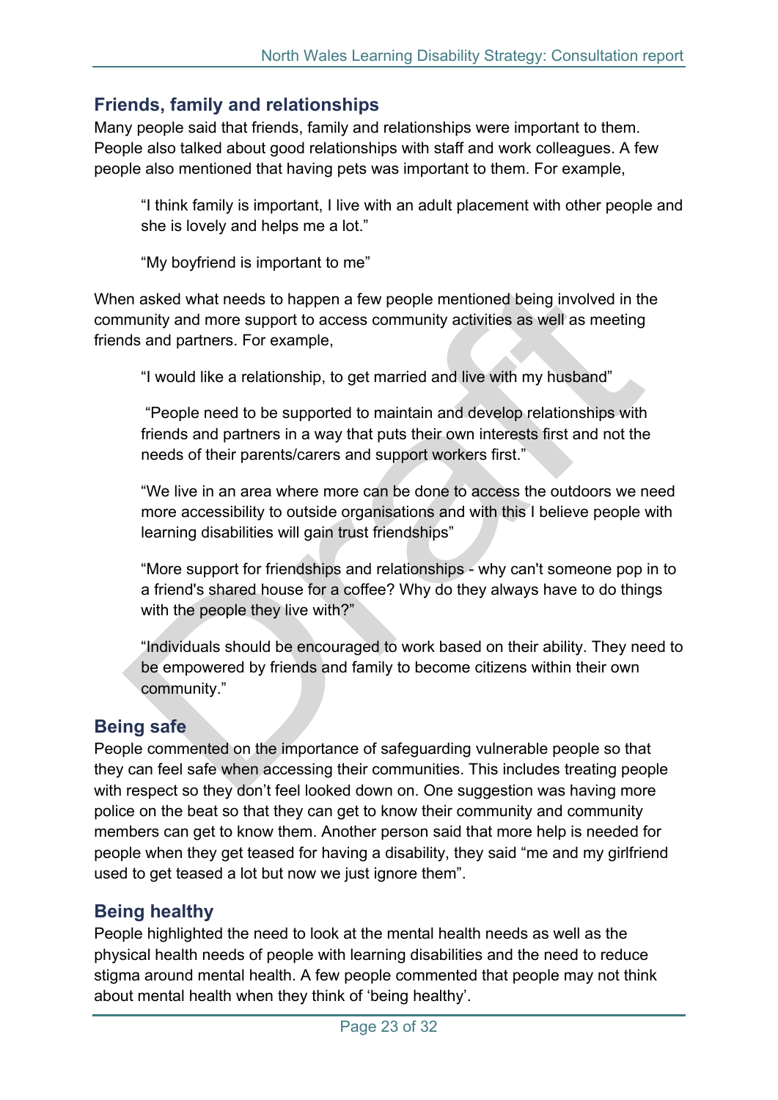### <span id="page-22-0"></span>**Friends, family and relationships**

Many people said that friends, family and relationships were important to them. People also talked about good relationships with staff and work colleagues. A few people also mentioned that having pets was important to them. For example,

"I think family is important, I live with an adult placement with other people and she is lovely and helps me a lot."

"My boyfriend is important to me"

When asked what needs to happen a few people mentioned being involved in the community and more support to access community activities as well as meeting friends and partners. For example,

"I would like a relationship, to get married and live with my husband"

"People need to be supported to maintain and develop relationships with friends and partners in a way that puts their own interests first and not the needs of their parents/carers and support workers first."

"We live in an area where more can be done to access the outdoors we need more accessibility to outside organisations and with this I believe people with learning disabilities will gain trust friendships"

"More support for friendships and relationships - why can't someone pop in to a friend's shared house for a coffee? Why do they always have to do things with the people they live with?"

"Individuals should be encouraged to work based on their ability. They need to be empowered by friends and family to become citizens within their own community."

### <span id="page-22-1"></span>**Being safe**

People commented on the importance of safeguarding vulnerable people so that they can feel safe when accessing their communities. This includes treating people with respect so they don't feel looked down on. One suggestion was having more police on the beat so that they can get to know their community and community members can get to know them. Another person said that more help is needed for people when they get teased for having a disability, they said "me and my girlfriend used to get teased a lot but now we just ignore them".

### <span id="page-22-2"></span>**Being healthy**

People highlighted the need to look at the mental health needs as well as the physical health needs of people with learning disabilities and the need to reduce stigma around mental health. A few people commented that people may not think about mental health when they think of 'being healthy'.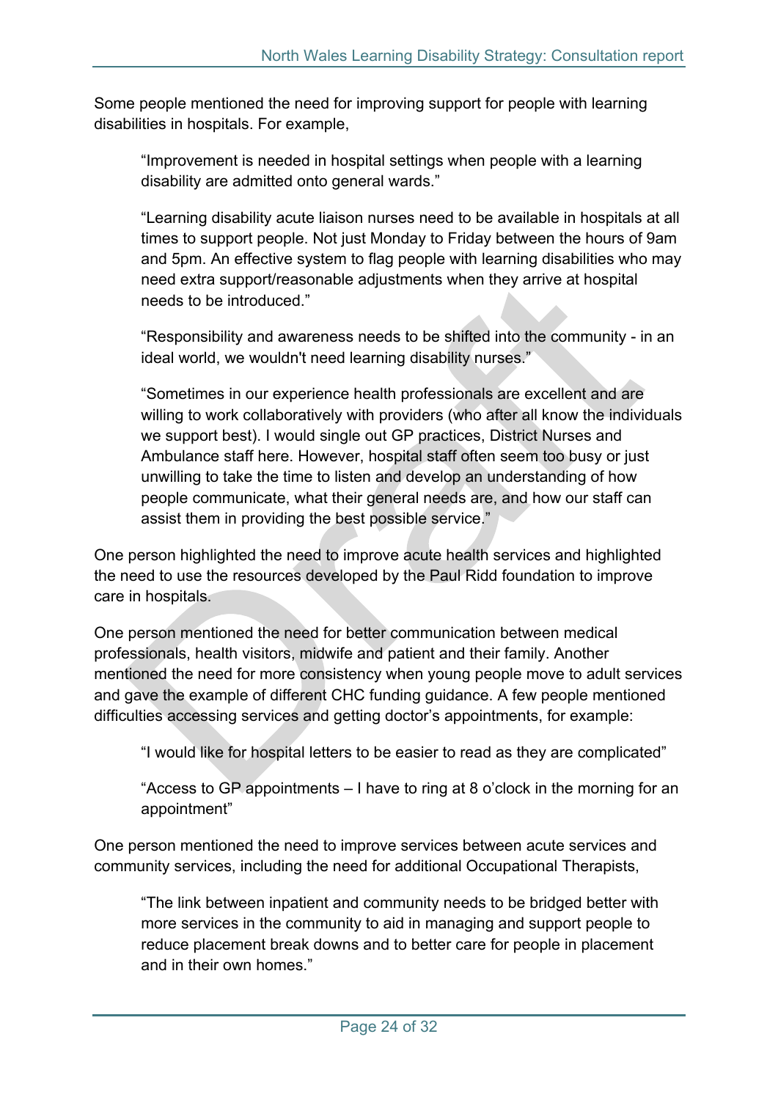Some people mentioned the need for improving support for people with learning disabilities in hospitals. For example,

"Improvement is needed in hospital settings when people with a learning disability are admitted onto general wards."

"Learning disability acute liaison nurses need to be available in hospitals at all times to support people. Not just Monday to Friday between the hours of 9am and 5pm. An effective system to flag people with learning disabilities who may need extra support/reasonable adjustments when they arrive at hospital needs to be introduced."

"Responsibility and awareness needs to be shifted into the community - in an ideal world, we wouldn't need learning disability nurses."

"Sometimes in our experience health professionals are excellent and are willing to work collaboratively with providers (who after all know the individuals we support best). I would single out GP practices, District Nurses and Ambulance staff here. However, hospital staff often seem too busy or just unwilling to take the time to listen and develop an understanding of how people communicate, what their general needs are, and how our staff can assist them in providing the best possible service."

One person highlighted the need to improve acute health services and highlighted the need to use the resources developed by the Paul Ridd foundation to improve care in hospitals.

One person mentioned the need for better communication between medical professionals, health visitors, midwife and patient and their family. Another mentioned the need for more consistency when young people move to adult services and gave the example of different CHC funding guidance. A few people mentioned difficulties accessing services and getting doctor's appointments, for example:

"I would like for hospital letters to be easier to read as they are complicated"

"Access to GP appointments – I have to ring at 8 o'clock in the morning for an appointment"

One person mentioned the need to improve services between acute services and community services, including the need for additional Occupational Therapists,

"The link between inpatient and community needs to be bridged better with more services in the community to aid in managing and support people to reduce placement break downs and to better care for people in placement and in their own homes."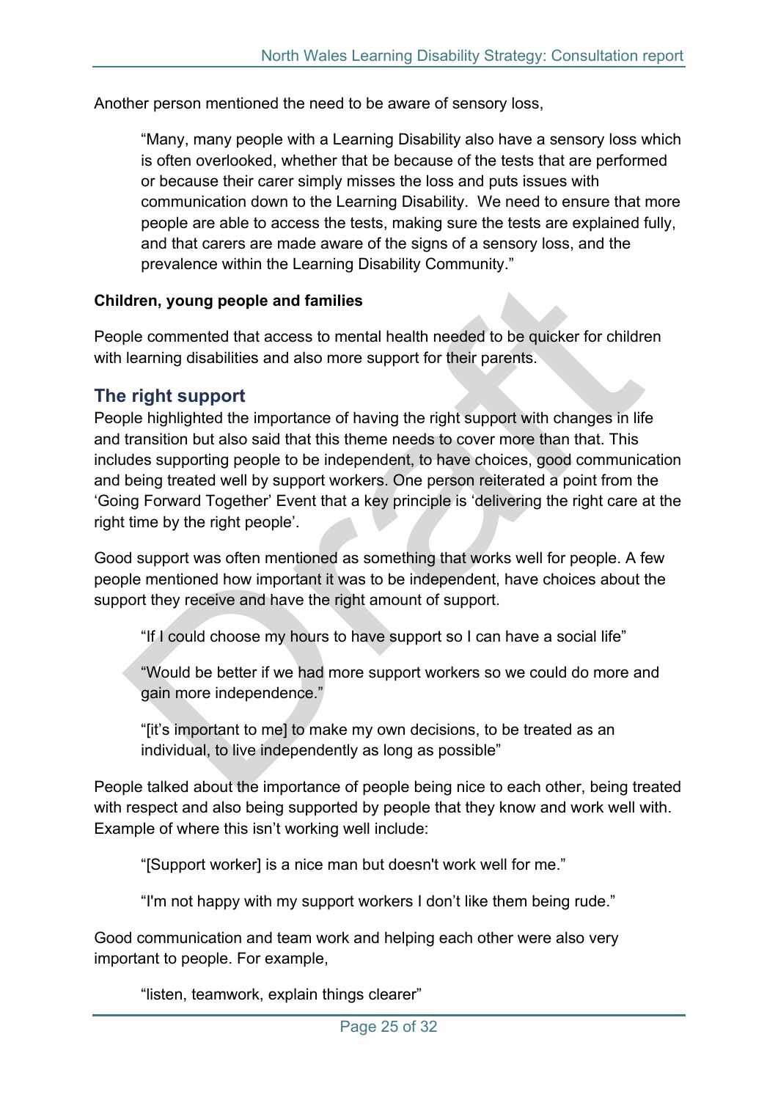Another person mentioned the need to be aware of sensory loss,

"Many, many people with a Learning Disability also have a sensory loss which is often overlooked, whether that be because of the tests that are performed or because their carer simply misses the loss and puts issues with communication down to the Learning Disability. We need to ensure that more people are able to access the tests, making sure the tests are explained fully, and that carers are made aware of the signs of a sensory loss, and the prevalence within the Learning Disability Community."

#### **Children, young people and families**

People commented that access to mental health needed to be quicker for children with learning disabilities and also more support for their parents.

### <span id="page-24-0"></span>**The right support**

People highlighted the importance of having the right support with changes in life and transition but also said that this theme needs to cover more than that. This includes supporting people to be independent, to have choices, good communication and being treated well by support workers. One person reiterated a point from the 'Going Forward Together' Event that a key principle is 'delivering the right care at the right time by the right people'.

Good support was often mentioned as something that works well for people. A few people mentioned how important it was to be independent, have choices about the support they receive and have the right amount of support.

"If I could choose my hours to have support so I can have a social life"

"Would be better if we had more support workers so we could do more and gain more independence."

"[it's important to me] to make my own decisions, to be treated as an individual, to live independently as long as possible"

People talked about the importance of people being nice to each other, being treated with respect and also being supported by people that they know and work well with. Example of where this isn't working well include:

"[Support worker] is a nice man but doesn't work well for me."

"I'm not happy with my support workers I don't like them being rude."

Good communication and team work and helping each other were also very important to people. For example,

"listen, teamwork, explain things clearer"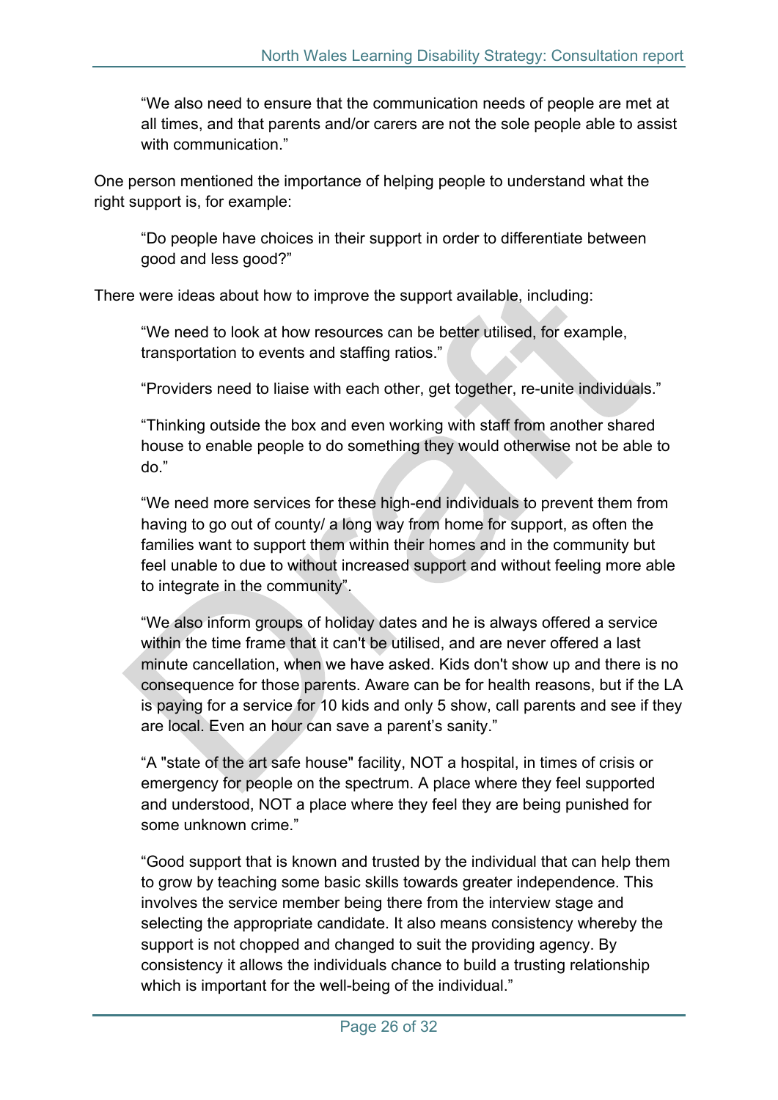"We also need to ensure that the communication needs of people are met at all times, and that parents and/or carers are not the sole people able to assist with communication."

One person mentioned the importance of helping people to understand what the right support is, for example:

"Do people have choices in their support in order to differentiate between good and less good?"

There were ideas about how to improve the support available, including:

"We need to look at how resources can be better utilised, for example, transportation to events and staffing ratios."

"Providers need to liaise with each other, get together, re-unite individuals."

"Thinking outside the box and even working with staff from another shared house to enable people to do something they would otherwise not be able to do."

"We need more services for these high-end individuals to prevent them from having to go out of county/ a long way from home for support, as often the families want to support them within their homes and in the community but feel unable to due to without increased support and without feeling more able to integrate in the community".

"We also inform groups of holiday dates and he is always offered a service within the time frame that it can't be utilised, and are never offered a last minute cancellation, when we have asked. Kids don't show up and there is no consequence for those parents. Aware can be for health reasons, but if the LA is paying for a service for 10 kids and only 5 show, call parents and see if they are local. Even an hour can save a parent's sanity."

"A "state of the art safe house" facility, NOT a hospital, in times of crisis or emergency for people on the spectrum. A place where they feel supported and understood, NOT a place where they feel they are being punished for some unknown crime."

"Good support that is known and trusted by the individual that can help them to grow by teaching some basic skills towards greater independence. This involves the service member being there from the interview stage and selecting the appropriate candidate. It also means consistency whereby the support is not chopped and changed to suit the providing agency. By consistency it allows the individuals chance to build a trusting relationship which is important for the well-being of the individual."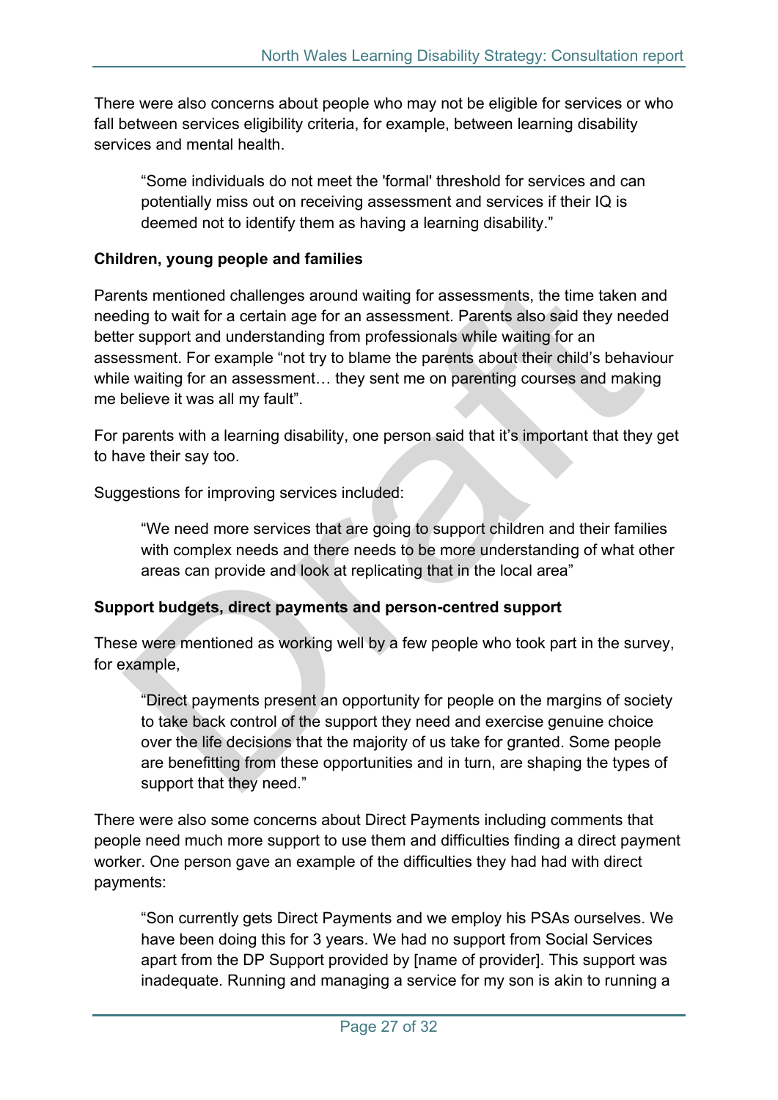There were also concerns about people who may not be eligible for services or who fall between services eligibility criteria, for example, between learning disability services and mental health.

"Some individuals do not meet the 'formal' threshold for services and can potentially miss out on receiving assessment and services if their IQ is deemed not to identify them as having a learning disability."

### **Children, young people and families**

Parents mentioned challenges around waiting for assessments, the time taken and needing to wait for a certain age for an assessment. Parents also said they needed better support and understanding from professionals while waiting for an assessment. For example "not try to blame the parents about their child's behaviour while waiting for an assessment… they sent me on parenting courses and making me believe it was all my fault".

For parents with a learning disability, one person said that it's important that they get to have their say too.

Suggestions for improving services included:

"We need more services that are going to support children and their families with complex needs and there needs to be more understanding of what other areas can provide and look at replicating that in the local area"

### **Support budgets, direct payments and person-centred support**

These were mentioned as working well by a few people who took part in the survey, for example,

"Direct payments present an opportunity for people on the margins of society to take back control of the support they need and exercise genuine choice over the life decisions that the majority of us take for granted. Some people are benefitting from these opportunities and in turn, are shaping the types of support that they need."

There were also some concerns about Direct Payments including comments that people need much more support to use them and difficulties finding a direct payment worker. One person gave an example of the difficulties they had had with direct payments:

"Son currently gets Direct Payments and we employ his PSAs ourselves. We have been doing this for 3 years. We had no support from Social Services apart from the DP Support provided by [name of provider]. This support was inadequate. Running and managing a service for my son is akin to running a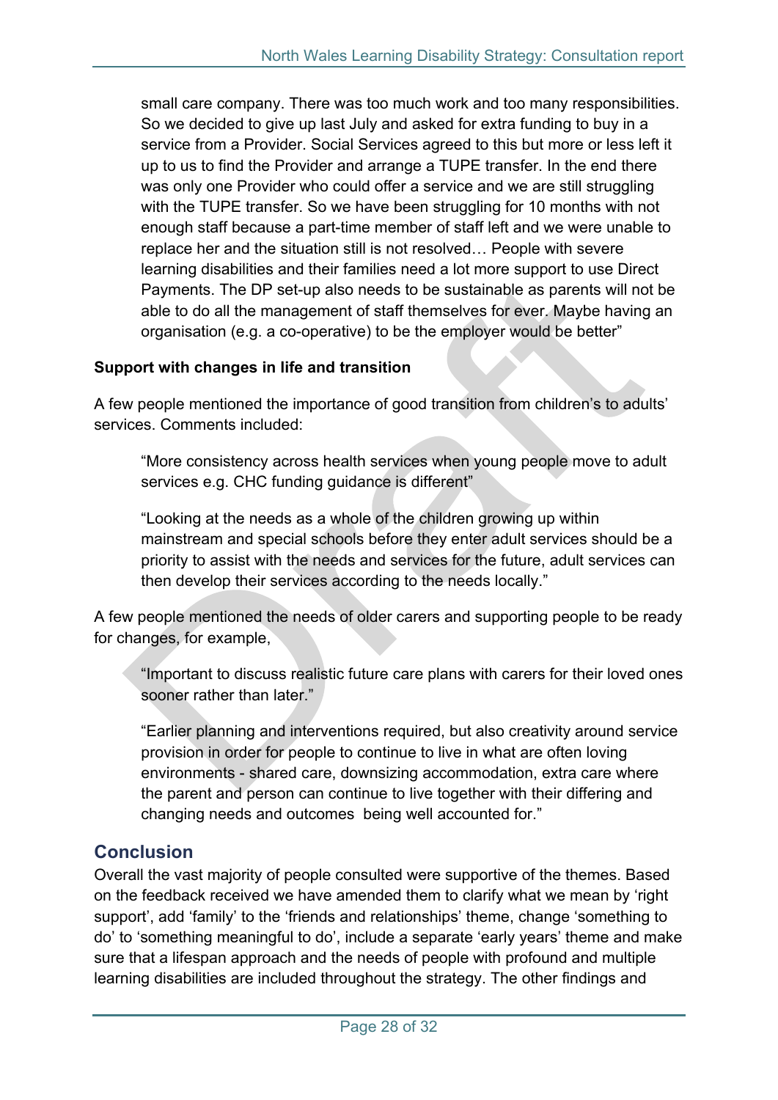small care company. There was too much work and too many responsibilities. So we decided to give up last July and asked for extra funding to buy in a service from a Provider. Social Services agreed to this but more or less left it up to us to find the Provider and arrange a TUPE transfer. In the end there was only one Provider who could offer a service and we are still struggling with the TUPE transfer. So we have been struggling for 10 months with not enough staff because a part-time member of staff left and we were unable to replace her and the situation still is not resolved… People with severe learning disabilities and their families need a lot more support to use Direct Payments. The DP set-up also needs to be sustainable as parents will not be able to do all the management of staff themselves for ever. Maybe having an organisation (e.g. a co-operative) to be the employer would be better"

### **Support with changes in life and transition**

A few people mentioned the importance of good transition from children's to adults' services. Comments included:

"More consistency across health services when young people move to adult services e.g. CHC funding guidance is different"

"Looking at the needs as a whole of the children growing up within mainstream and special schools before they enter adult services should be a priority to assist with the needs and services for the future, adult services can then develop their services according to the needs locally."

A few people mentioned the needs of older carers and supporting people to be ready for changes, for example,

"Important to discuss realistic future care plans with carers for their loved ones sooner rather than later."

"Earlier planning and interventions required, but also creativity around service provision in order for people to continue to live in what are often loving environments - shared care, downsizing accommodation, extra care where the parent and person can continue to live together with their differing and changing needs and outcomes being well accounted for."

### <span id="page-27-0"></span>**Conclusion**

Overall the vast majority of people consulted were supportive of the themes. Based on the feedback received we have amended them to clarify what we mean by 'right support', add 'family' to the 'friends and relationships' theme, change 'something to do' to 'something meaningful to do', include a separate 'early years' theme and make sure that a lifespan approach and the needs of people with profound and multiple learning disabilities are included throughout the strategy. The other findings and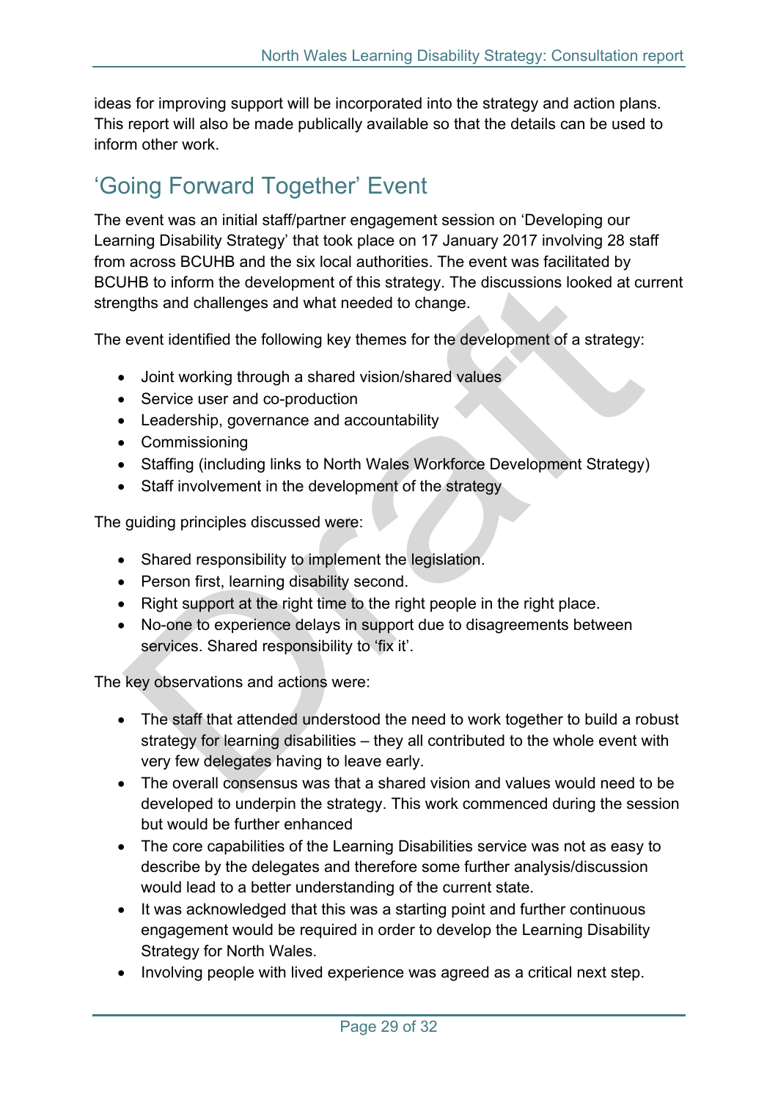ideas for improving support will be incorporated into the strategy and action plans. This report will also be made publically available so that the details can be used to inform other work.

### <span id="page-28-0"></span>'Going Forward Together' Event

The event was an initial staff/partner engagement session on 'Developing our Learning Disability Strategy' that took place on 17 January 2017 involving 28 staff from across BCUHB and the six local authorities. The event was facilitated by BCUHB to inform the development of this strategy. The discussions looked at current strengths and challenges and what needed to change.

The event identified the following key themes for the development of a strategy:

- Joint working through a shared vision/shared values
- Service user and co-production
- Leadership, governance and accountability
- Commissioning
- Staffing (including links to North Wales Workforce Development Strategy)
- Staff involvement in the development of the strategy

The guiding principles discussed were:

- Shared responsibility to implement the legislation.
- Person first, learning disability second.
- Right support at the right time to the right people in the right place.
- No-one to experience delays in support due to disagreements between services. Shared responsibility to 'fix it'.

The key observations and actions were:

- The staff that attended understood the need to work together to build a robust strategy for learning disabilities – they all contributed to the whole event with very few delegates having to leave early.
- The overall consensus was that a shared vision and values would need to be developed to underpin the strategy. This work commenced during the session but would be further enhanced
- The core capabilities of the Learning Disabilities service was not as easy to describe by the delegates and therefore some further analysis/discussion would lead to a better understanding of the current state.
- It was acknowledged that this was a starting point and further continuous engagement would be required in order to develop the Learning Disability Strategy for North Wales.
- Involving people with lived experience was agreed as a critical next step.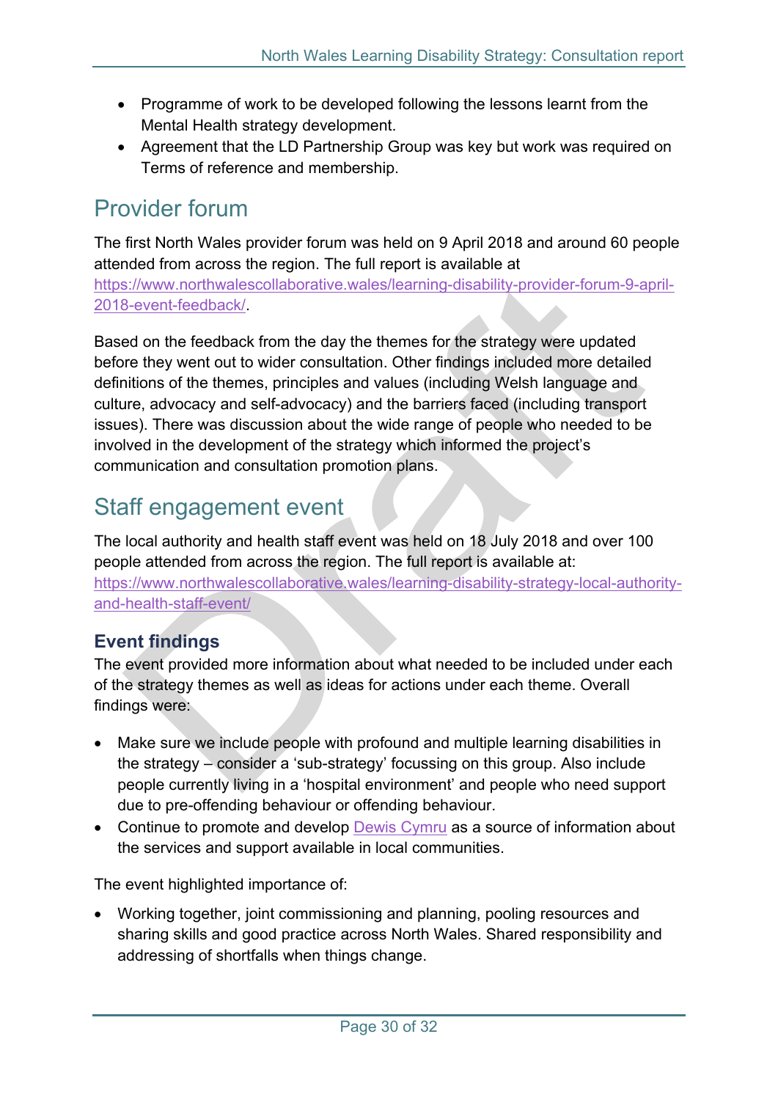- Programme of work to be developed following the lessons learnt from the Mental Health strategy development.
- Agreement that the LD Partnership Group was key but work was required on Terms of reference and membership.

### <span id="page-29-0"></span>Provider forum

The first North Wales provider forum was held on 9 April 2018 and around 60 people attended from across the region. The full report is available at [https://www.northwalescollaborative.wales/learning-disability-provider-forum-9-april-](https://www.northwalescollaborative.wales/learning-disability-provider-forum-9-april-2018-event-feedback/)[2018-event-feedback/](https://www.northwalescollaborative.wales/learning-disability-provider-forum-9-april-2018-event-feedback/).

Based on the feedback from the day the themes for the strategy were updated before they went out to wider consultation. Other findings included more detailed definitions of the themes, principles and values (including Welsh language and culture, advocacy and self-advocacy) and the barriers faced (including transport issues). There was discussion about the wide range of people who needed to be involved in the development of the strategy which informed the project's communication and consultation promotion plans.

### <span id="page-29-1"></span>Staff engagement event

The local authority and health staff event was held on 18 July 2018 and over 100 people attended from across the region. The full report is available at: [https://www.northwalescollaborative.wales/learning-disability-strategy-local-authority](https://www.northwalescollaborative.wales/learning-disability-strategy-local-authority-and-health-staff-event/)[and-health-staff-event/](https://www.northwalescollaborative.wales/learning-disability-strategy-local-authority-and-health-staff-event/)

### <span id="page-29-2"></span>**Event findings**

The event provided more information about what needed to be included under each of the strategy themes as well as ideas for actions under each theme. Overall findings were:

- Make sure we include people with profound and multiple learning disabilities in the strategy – consider a 'sub-strategy' focussing on this group. Also include people currently living in a 'hospital environment' and people who need support due to pre-offending behaviour or offending behaviour.
- Continue to promote and develop Dewis [Cymru](https://www.dewis.wales/) as a source of information about the services and support available in local communities.

The event highlighted importance of:

 Working together, joint commissioning and planning, pooling resources and sharing skills and good practice across North Wales. Shared responsibility and addressing of shortfalls when things change.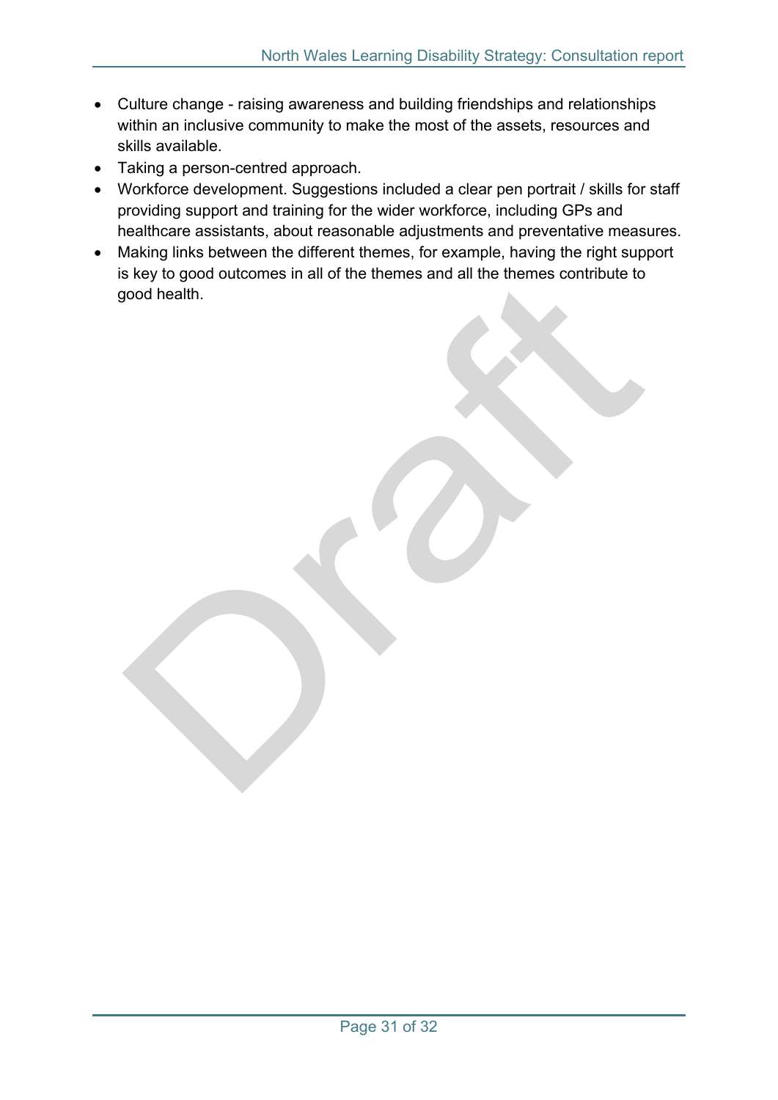- Culture change raising awareness and building friendships and relationships within an inclusive community to make the most of the assets, resources and skills available.
- Taking a person-centred approach.
- Workforce development. Suggestions included a clear pen portrait / skills for staff providing support and training for the wider workforce, including GPs and healthcare assistants, about reasonable adjustments and preventative measures.
- Making links between the different themes, for example, having the right support is key to good outcomes in all of the themes and all the themes contribute to good health.